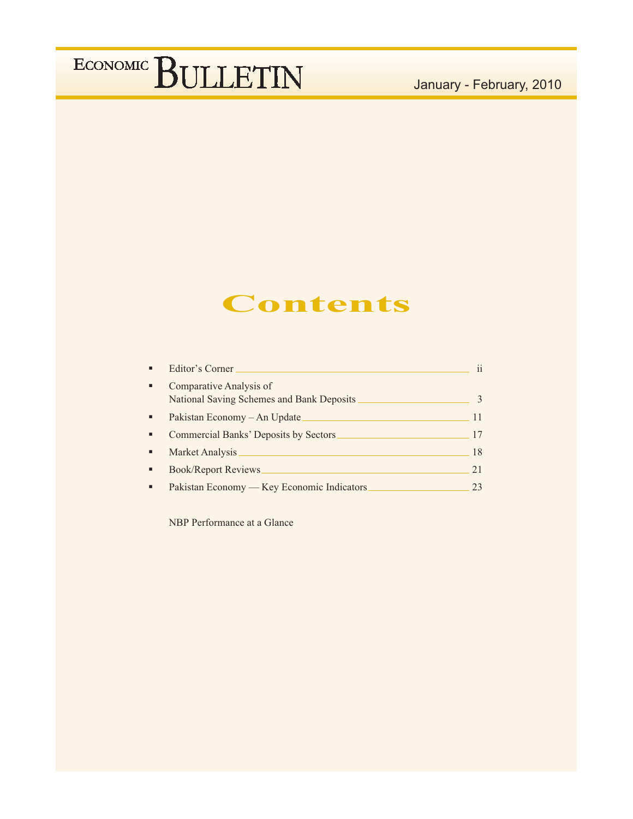# January - February, 2010

# **Contents**

|   | Editor's Corner                            | 11 |
|---|--------------------------------------------|----|
| ٠ | Comparative Analysis of                    |    |
|   | National Saving Schemes and Bank Deposits  |    |
| ٠ | Pakistan Economy – An Update               |    |
| ٠ | Commercial Banks' Deposits by Sectors      | 17 |
|   | Market Analysis                            | 18 |
| ٠ | <b>Book/Report Reviews</b>                 | 21 |
|   | Pakistan Economy — Key Economic Indicators |    |

NBP Performance at a Glance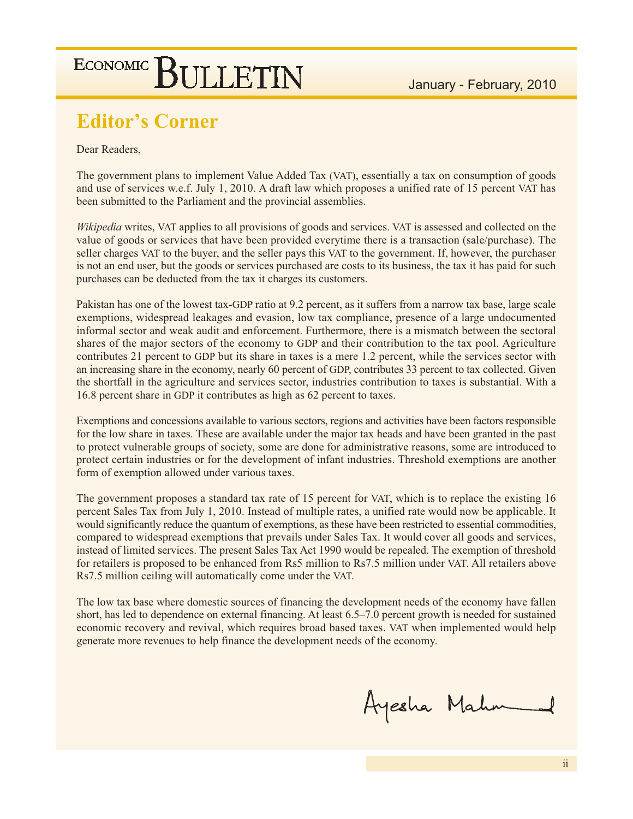# **Editor's Corner**

Dear Readers.

The government plans to implement Value Added Tax (VAT), essentially a tax on consumption of goods and use of services w.e.f. July 1, 2010. A draft law which proposes a unified rate of 15 percent VAT has been submitted to the Parliament and the provincial assemblies.

Wikipedia writes, VAT applies to all provisions of goods and services. VAT is assessed and collected on the value of goods or services that have been provided everytime there is a transaction (sale/purchase). The seller charges VAT to the buyer, and the seller pays this VAT to the government. If, however, the purchaser is not an end user, but the goods or services purchased are costs to its business, the tax it has paid for such purchases can be deducted from the tax it charges its customers.

Pakistan has one of the lowest tax-GDP ratio at 9.2 percent, as it suffers from a narrow tax base, large scale exemptions, widespread leakages and evasion, low tax compliance, presence of a large undocumented informal sector and weak audit and enforcement. Furthermore, there is a mismatch between the sectoral shares of the major sectors of the economy to GDP and their contribution to the tax pool. Agriculture contributes 21 percent to GDP but its share in taxes is a mere 1.2 percent, while the services sector with an increasing share in the economy, nearly 60 percent of GDP, contributes 33 percent to tax collected. Given the shortfall in the agriculture and services sector, industries contribution to taxes is substantial. With a 16.8 percent share in GDP it contributes as high as 62 percent to taxes.

Exemptions and concessions available to various sectors, regions and activities have been factors responsible for the low share in taxes. These are available under the major tax heads and have been granted in the past to protect vulnerable groups of society, some are done for administrative reasons, some are introduced to protect certain industries or for the development of infant industries. Threshold exemptions are another form of exemption allowed under various taxes.

The government proposes a standard tax rate of 15 percent for VAT, which is to replace the existing 16 percent Sales Tax from July 1, 2010. Instead of multiple rates, a unified rate would now be applicable. It would significantly reduce the quantum of exemptions, as these have been restricted to essential commodities, compared to widespread exemptions that prevails under Sales Tax. It would cover all goods and services, instead of limited services. The present Sales Tax Act 1990 would be repealed. The exemption of threshold for retailers is proposed to be enhanced from Rs5 million to Rs7.5 million under VAT. All retailers above Rs7.5 million ceiling will automatically come under the VAT.

The low tax base where domestic sources of financing the development needs of the economy have fallen short, has led to dependence on external financing. At least 6.5–7.0 percent growth is needed for sustained economic recovery and revival, which requires broad based taxes. VAT when implemented would help generate more revenues to help finance the development needs of the economy.

Ayesha Mahn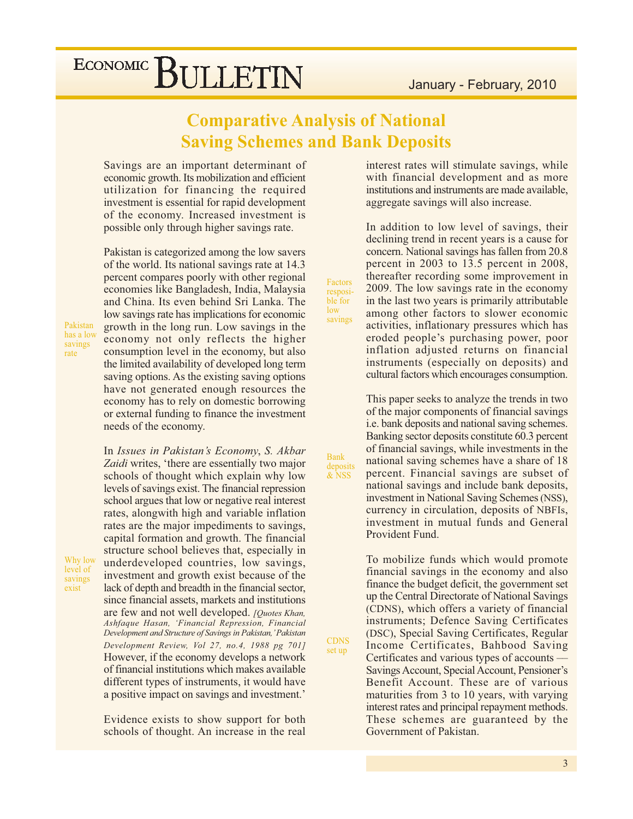# **Comparative Analysis of National Saving Schemes and Bank Deposits**

Factors

resposible for

savings

 $low$ 

**Bank** 

deposits<br>& NSS

**CDNS** 

set up

Savings are an important determinant of economic growth. Its mobilization and efficient utilization for financing the required investment is essential for rapid development of the economy. Increased investment is possible only through higher savings rate.

Pakistan is categorized among the low savers of the world. Its national savings rate at 14.3 percent compares poorly with other regional economies like Bangladesh, India, Malaysia and China. Its even behind Sri Lanka. The low savings rate has implications for economic growth in the long run. Low savings in the economy not only reflects the higher consumption level in the economy, but also the limited availability of developed long term saving options. As the existing saving options have not generated enough resources the economy has to rely on domestic borrowing or external funding to finance the investment needs of the economy.

Pakistan has a low savings rate

Why low

level of

savings

exist

In Issues in Pakistan's Economy, S. Akbar Zaidi writes, 'there are essentially two major schools of thought which explain why low levels of savings exist. The financial repression school argues that low or negative real interest rates, alongwith high and variable inflation rates are the major impediments to savings, capital formation and growth. The financial structure school believes that, especially in underdeveloped countries, low savings, investment and growth exist because of the lack of depth and breadth in the financial sector, since financial assets, markets and institutions are few and not well developed. [Quotes Khan, Ashfaque Hasan, 'Financial Repression, Financial Development and Structure of Savings in Pakistan,' Pakistan Development Review, Vol 27, no.4, 1988 pg 701] However, if the economy develops a network of financial institutions which makes available different types of instruments, it would have a positive impact on savings and investment.'

Evidence exists to show support for both schools of thought. An increase in the real

interest rates will stimulate savings, while with financial development and as more institutions and instruments are made available, aggregate savings will also increase.

In addition to low level of savings, their declining trend in recent years is a cause for concern. National savings has fallen from 20.8 percent in 2003 to 13.5 percent in 2008, thereafter recording some improvement in 2009. The low savings rate in the economy in the last two years is primarily attributable among other factors to slower economic activities, inflationary pressures which has eroded people's purchasing power, poor inflation adjusted returns on financial instruments (especially on deposits) and cultural factors which encourages consumption.

This paper seeks to analyze the trends in two of the major components of financial savings i.e. bank deposits and national saving schemes. Banking sector deposits constitute 60.3 percent of financial savings, while investments in the national saving schemes have a share of 18 percent. Financial savings are subset of national savings and include bank deposits, investment in National Saving Schemes (NSS), currency in circulation, deposits of NBFIs, investment in mutual funds and General Provident Fund.

To mobilize funds which would promote financial savings in the economy and also finance the budget deficit, the government set up the Central Directorate of National Savings (CDNS), which offers a variety of financial instruments; Defence Saving Certificates (DSC), Special Saving Certificates, Regular Income Certificates, Bahbood Saving Certificates and various types of accounts — Savings Account, Special Account, Pensioner's Benefit Account. These are of various maturities from 3 to 10 years, with varying interest rates and principal repayment methods. These schemes are guaranteed by the Government of Pakistan.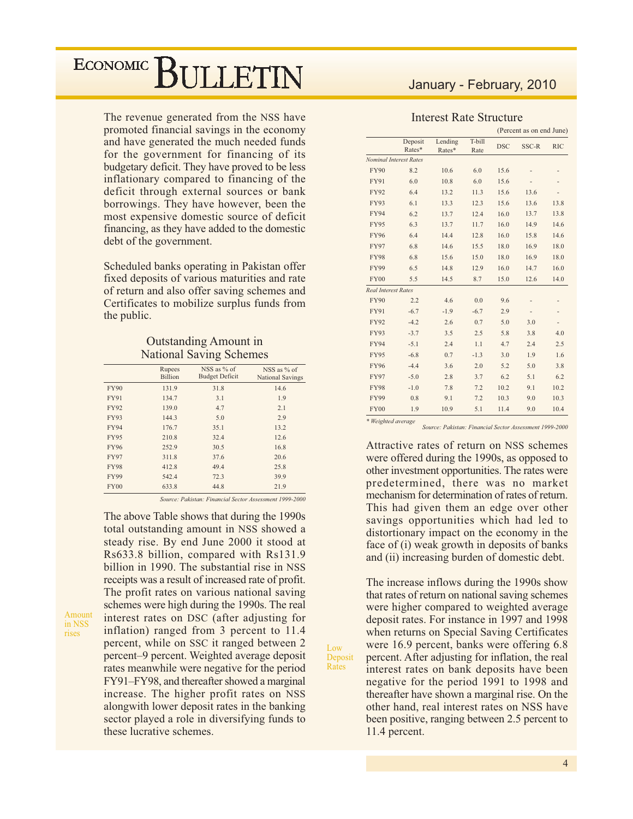The revenue generated from the NSS have promoted financial savings in the economy and have generated the much needed funds for the government for financing of its budgetary deficit. They have proved to be less inflationary compared to financing of the deficit through external sources or bank borrowings. They have however, been the most expensive domestic source of deficit financing, as they have added to the domestic debt of the government.

Scheduled banks operating in Pakistan offer fixed deposits of various maturities and rate of return and also offer saving schemes and Certificates to mobilize surplus funds from the public.

#### **Outstanding Amount in National Saving Schemes**

|             | Rupees<br><b>Billion</b> | NSS as % of<br><b>Budget Deficit</b> | NSS as % of<br><b>National Savings</b> |
|-------------|--------------------------|--------------------------------------|----------------------------------------|
| <b>FY90</b> | 131.9                    | 31.8                                 | 14.6                                   |
| <b>FY91</b> | 134.7                    | 3.1                                  | 1.9                                    |
| <b>FY92</b> | 139.0                    | 4.7                                  | 2.1                                    |
| <b>FY93</b> | 144.3                    | 5.0                                  | 2.9                                    |
| <b>FY94</b> | 176.7                    | 35.1                                 | 13.2                                   |
| <b>FY95</b> | 210.8                    | 32.4                                 | 12.6                                   |
| <b>FY96</b> | 252.9                    | 30.5                                 | 16.8                                   |
| <b>FY97</b> | 311.8                    | 37.6                                 | 20.6                                   |
| <b>FY98</b> | 412.8                    | 49.4                                 | 25.8                                   |
| <b>FY99</b> | 542.4                    | 72.3                                 | 39.9                                   |
| <b>FY00</b> | 633.8                    | 44.8                                 | 21.9                                   |

Source: Pakistan: Financial Sector Assessment 1999-2000

Low

Deposit Rates

The above Table shows that during the 1990s total outstanding amount in NSS showed a steady rise. By end June 2000 it stood at Rs633.8 billion, compared with Rs131.9 billion in 1990. The substantial rise in NSS receipts was a result of increased rate of profit. The profit rates on various national saving schemes were high during the 1990s. The real interest rates on DSC (after adjusting for inflation) ranged from 3 percent to 11.4 percent, while on SSC it ranged between 2 percent-9 percent. Weighted average deposit rates meanwhile were negative for the period FY91-FY98, and thereafter showed a marginal increase. The higher profit rates on NSS alongwith lower deposit rates in the banking sector played a role in diversifying funds to these lucrative schemes.

## January - February, 2010

#### **Interest Rate Structure**

|                            |                               |                   |                |            | (Percent as on end June) |            |
|----------------------------|-------------------------------|-------------------|----------------|------------|--------------------------|------------|
|                            | Deposit<br>Rates*             | Lending<br>Rates* | T-bill<br>Rate | <b>DSC</b> | SSC-R                    | <b>RIC</b> |
|                            | <b>Nominal Interest Rates</b> |                   |                |            |                          |            |
| <b>FY90</b>                | 8.2                           | 10.6              | 6.0            | 15.6       |                          |            |
| <b>FY91</b>                | 6.0                           | 10.8              | 6.0            | 15.6       |                          |            |
| <b>FY92</b>                | 6.4                           | 13.2              | 11.3           | 15.6       | 13.6                     |            |
| <b>FY93</b>                | 6.1                           | 13.3              | 12.3           | 15.6       | 13.6                     | 13.8       |
| <b>FY94</b>                | 6.2                           | 13.7              | 12.4           | 16.0       | 13.7                     | 13.8       |
| <b>FY95</b>                | 6.3                           | 13.7              | 11.7           | 16.0       | 14.9                     | 14.6       |
| <b>FY96</b>                | 6.4                           | 14.4              | 12.8           | 16.0       | 15.8                     | 14.6       |
| <b>FY97</b>                | 6.8                           | 14.6              | 15.5           | 18.0       | 16.9                     | 18.0       |
| <b>FY98</b>                | 6.8                           | 15.6              | 15.0           | 18.0       | 16.9                     | 18.0       |
| <b>FY99</b>                | 6.5                           | 14.8              | 12.9           | 16.0       | 14.7                     | 16.0       |
| <b>FY00</b>                | 5.5                           | 14.5              | 8.7            | 15.0       | 12.6                     | 14.0       |
| <b>Real Interest Rates</b> |                               |                   |                |            |                          |            |
| <b>FY90</b>                | 2.2                           | 4.6               | 0.0            | 9.6        |                          |            |
| <b>FY91</b>                | $-6.7$                        | $-1.9$            | $-6.7$         | 2.9        |                          |            |
| <b>FY92</b>                | $-4.2$                        | 2.6               | 0.7            | 5.0        | 3.0                      |            |
| <b>FY93</b>                | $-3.7$                        | 3.5               | 2.5            | 5.8        | 3.8                      | 4.0        |
| <b>FY94</b>                | $-5.1$                        | 2.4               | 1.1            | 4.7        | 2.4                      | 2.5        |
| <b>FY95</b>                | $-6.8$                        | 0.7               | $-1.3$         | 3.0        | 1.9                      | 1.6        |
| <b>FY96</b>                | $-4.4$                        | 3.6               | 2.0            | 5.2        | 5.0                      | 3.8        |
| <b>FY97</b>                | $-5.0$                        | 2.8               | 3.7            | 6.2        | 5.1                      | 6.2        |
| <b>FY98</b>                | $-1.0$                        | 7.8               | 7.2            | 10.2       | 9.1                      | 10.2       |
| <b>FY99</b>                | 0.8                           | 9.1               | 7.2            | 10.3       | 9.0                      | 10.3       |
| <b>FY00</b>                | 1.9                           | 10.9              | 5.1            | 11.4       | 9.0                      | 10.4       |
| * Weighted average         |                               |                   |                |            |                          |            |

Source: Pakistan: Financial Sector Assessment 1999-2000

Attractive rates of return on NSS schemes were offered during the 1990s, as opposed to other investment opportunities. The rates were predetermined, there was no market mechanism for determination of rates of return. This had given them an edge over other savings opportunities which had led to distortionary impact on the economy in the face of (i) weak growth in deposits of banks and (ii) increasing burden of domestic debt.

The increase inflows during the 1990s show that rates of return on national saving schemes were higher compared to weighted average deposit rates. For instance in 1997 and 1998 when returns on Special Saving Certificates were 16.9 percent, banks were offering 6.8 percent. After adjusting for inflation, the real interest rates on bank deposits have been negative for the period 1991 to 1998 and thereafter have shown a marginal rise. On the other hand, real interest rates on NSS have been positive, ranging between 2.5 percent to 11.4 percent.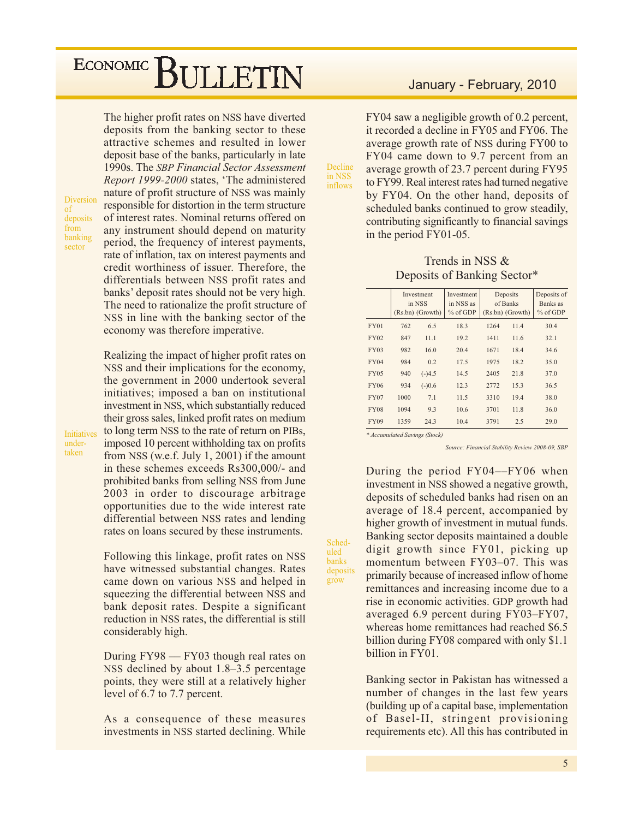Diversion  $\circ$ f deposits from banking sector

**Initiatives** 

under-

taken

The higher profit rates on NSS have diverted deposits from the banking sector to these attractive schemes and resulted in lower deposit base of the banks, particularly in late 1990s. The SBP Financial Sector Assessment Report 1999-2000 states, 'The administered nature of profit structure of NSS was mainly responsible for distortion in the term structure of interest rates. Nominal returns offered on any instrument should depend on maturity period, the frequency of interest payments, rate of inflation, tax on interest payments and credit worthiness of issuer. Therefore, the differentials between NSS profit rates and banks' deposit rates should not be very high. The need to rationalize the profit structure of NSS in line with the banking sector of the economy was therefore imperative.

Realizing the impact of higher profit rates on NSS and their implications for the economy, the government in 2000 undertook several initiatives; imposed a ban on institutional investment in NSS, which substantially reduced their gross sales, linked profit rates on medium to long term NSS to the rate of return on PIBs, imposed 10 percent withholding tax on profits from NSS (w.e.f. July 1, 2001) if the amount in these schemes exceeds Rs300,000/- and prohibited banks from selling NSS from June 2003 in order to discourage arbitrage opportunities due to the wide interest rate differential between NSS rates and lending rates on loans secured by these instruments.

Following this linkage, profit rates on NSS have witnessed substantial changes. Rates came down on various NSS and helped in squeezing the differential between NSS and bank deposit rates. Despite a significant reduction in NSS rates, the differential is still considerably high.

During  $FY98 - FY03$  though real rates on NSS declined by about 1.8–3.5 percentage points, they were still at a relatively higher level of 6.7 to 7.7 percent.

As a consequence of these measures investments in NSS started declining. While

## January - February, 2010

FY04 saw a negligible growth of 0.2 percent, it recorded a decline in FY05 and FY06. The average growth rate of NSS during FY00 to FY04 came down to 9.7 percent from an average growth of 23.7 percent during FY95 to FY99. Real interest rates had turned negative by FY04. On the other hand, deposits of scheduled banks continued to grow steadily, contributing significantly to financial savings in the period FY01-05.

#### Trends in NSS & Deposits of Banking Sector\*

|             |      | Investment<br>in NSS<br>(Rs.bn) (Growth) | Investment<br>in NSS as<br>% of GDP |      | Deposits<br>of Banks<br>(Rs.bn) (Growth) | Deposits of<br>Banks as<br>$%$ of GDP |
|-------------|------|------------------------------------------|-------------------------------------|------|------------------------------------------|---------------------------------------|
| <b>FY01</b> | 762  | 6.5                                      | 18.3                                | 1264 | 11.4                                     | 30.4                                  |
| <b>FY02</b> | 847  | 11.1                                     | 19.2                                | 1411 | 11.6                                     | 32.1                                  |
| <b>FY03</b> | 982  | 16.0                                     | 20.4                                | 1671 | 18.4                                     | 34.6                                  |
| <b>FY04</b> | 984  | 0.2                                      | 17.5                                | 1975 | 18.2                                     | 35.0                                  |
| <b>FY05</b> | 940  | $(-)4.5$                                 | 14.5                                | 2405 | 21.8                                     | 37.0                                  |
| <b>FY06</b> | 934  | $(-)0.6$                                 | 12.3                                | 2772 | 15.3                                     | 36.5                                  |
| <b>FY07</b> | 1000 | 7.1                                      | 11.5                                | 3310 | 19.4                                     | 38.0                                  |
| <b>FY08</b> | 1094 | 9.3                                      | 10.6                                | 3701 | 11.8                                     | 36.0                                  |
| <b>FY09</b> | 1359 | 24.3                                     | 10.4                                | 3791 | 2.5                                      | 29.0                                  |

\* Accumulated Savings (Stock)

Decline

in NSS

inflows

Sched-

uled

**banks** 

grow

deposits

Source: Financial Stability Review 2008-09, SBP

During the period FY04--FY06 when investment in NSS showed a negative growth, deposits of scheduled banks had risen on an average of 18.4 percent, accompanied by higher growth of investment in mutual funds. Banking sector deposits maintained a double digit growth since FY01, picking up momentum between FY03-07. This was primarily because of increased inflow of home remittances and increasing income due to a rise in economic activities. GDP growth had averaged 6.9 percent during FY03-FY07, whereas home remittances had reached \$6.5 billion during FY08 compared with only \$1.1 billion in FY01.

Banking sector in Pakistan has witnessed a number of changes in the last few years (building up of a capital base, implementation of Basel-II, stringent provisioning requirements etc). All this has contributed in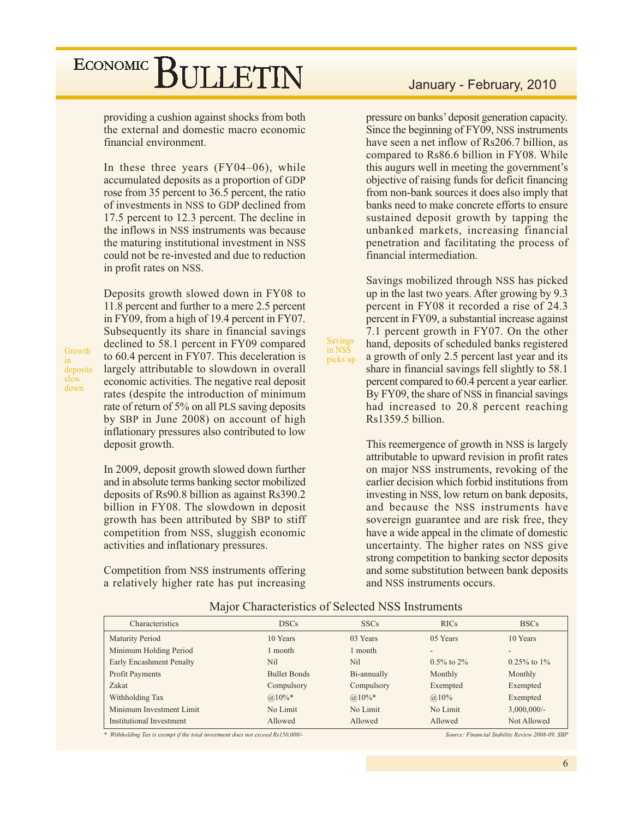providing a cushion against shocks from both the external and domestic macro economic financial environment.

In these three years (FY04-06), while accumulated deposits as a proportion of GDP rose from 35 percent to 36.5 percent, the ratio of investments in NSS to GDP declined from 17.5 percent to 12.3 percent. The decline in the inflows in NSS instruments was because the maturing institutional investment in NSS could not be re-invested and due to reduction in profit rates on NSS.

Growth deposits slow down

Deposits growth slowed down in FY08 to 11.8 percent and further to a mere 2.5 percent in FY09, from a high of 19.4 percent in FY07. Subsequently its share in financial savings declined to 58.1 percent in FY09 compared to 60.4 percent in FY07. This deceleration is largely attributable to slowdown in overall economic activities. The negative real deposit rates (despite the introduction of minimum rate of return of 5% on all PLS saving deposits by SBP in June 2008) on account of high inflationary pressures also contributed to low deposit growth.

In 2009, deposit growth slowed down further and in absolute terms banking sector mobilized deposits of Rs90.8 billion as against Rs390.2 billion in FY08. The slowdown in deposit growth has been attributed by SBP to stiff competition from NSS, sluggish economic activities and inflationary pressures.

Competition from NSS instruments offering a relatively higher rate has put increasing

## January - February, 2010

pressure on banks' deposit generation capacity. Since the beginning of FY09, NSS instruments have seen a net inflow of Rs206.7 billion, as compared to Rs86.6 billion in FY08. While this augurs well in meeting the government's objective of raising funds for deficit financing from non-bank sources it does also imply that banks need to make concrete efforts to ensure sustained deposit growth by tapping the unbanked markets, increasing financial penetration and facilitating the process of financial intermediation.

Savings mobilized through NSS has picked up in the last two years. After growing by 9.3 percent in FY08 it recorded a rise of 24.3 percent in FY09, a substantial increase against 7.1 percent growth in FY07. On the other hand, deposits of scheduled banks registered a growth of only 2.5 percent last year and its share in financial savings fell slightly to 58.1 percent compared to 60.4 percent a year earlier. By FY09, the share of NSS in financial savings had increased to 20.8 percent reaching Rs1359.5 billion.

This reemergence of growth in NSS is largely attributable to upward revision in profit rates on major NSS instruments, revoking of the earlier decision which forbid institutions from investing in NSS, low return on bank deposits, and because the NSS instruments have sovereign guarantee and are risk free, they have a wide appeal in the climate of domestic uncertainty. The higher rates on NSS give strong competition to banking sector deposits and some substitution between bank deposits and NSS instruments occurs.

| Characteristics                 | <b>DSCs</b>         | <b>SSCs</b> | <b>RICs</b>              | <b>BSCs</b>              |
|---------------------------------|---------------------|-------------|--------------------------|--------------------------|
| <b>Maturity Period</b>          | 10 Years            | 03 Years    | 05 Years                 | 10 Years                 |
| Minimum Holding Period          | 1 month             | 1 month     | $\overline{\phantom{0}}$ | $\overline{\phantom{a}}$ |
| <b>Early Encashment Penalty</b> | Nil                 | Nil         | $0.5\%$ to 2\%           | $0.25\%$ to $1\%$        |
| <b>Profit Payments</b>          | <b>Bullet Bonds</b> | Bi-annually | Monthly                  | Monthly                  |
| Zakat                           | Compulsory          | Compulsory  | Exempted                 | Exempted                 |
| Withholding Tax                 | $@.10\%*$           | $@.10\%*$   | $@10\%$                  | Exempted                 |
| Minimum Investment Limit        | No Limit            | No Limit    | No Limit                 | $3,000,000/$ -           |
| Institutional Investment        | Allowed             | Allowed     | Allowed                  | Not Allowed              |

#### Major Characteristics of Selected NSS Instruments

Savings<br>in NSS

picks up

\* Withholding Tax is exempt if the total investment does not exceed Rs150,000/-

Source: Financial Stability Review 2008-09, SBP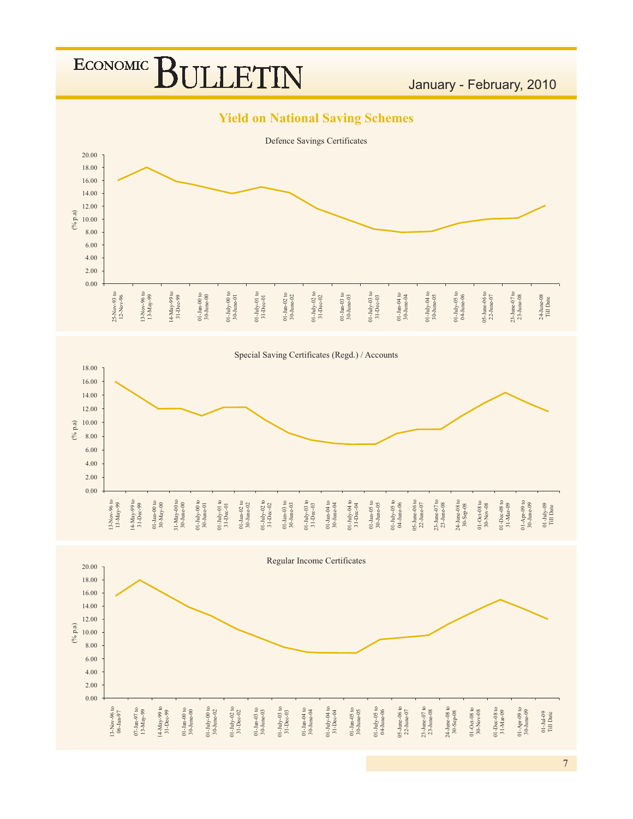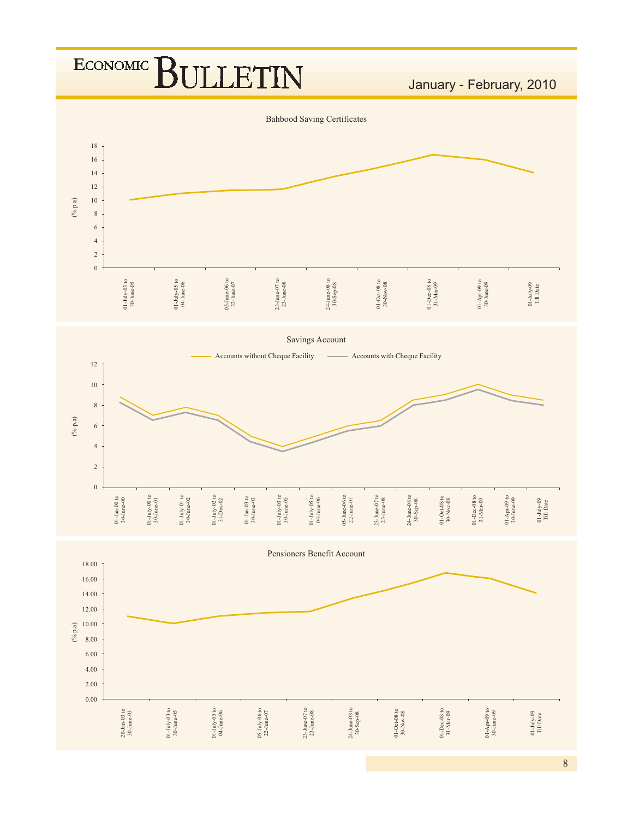

<sup>%</sup>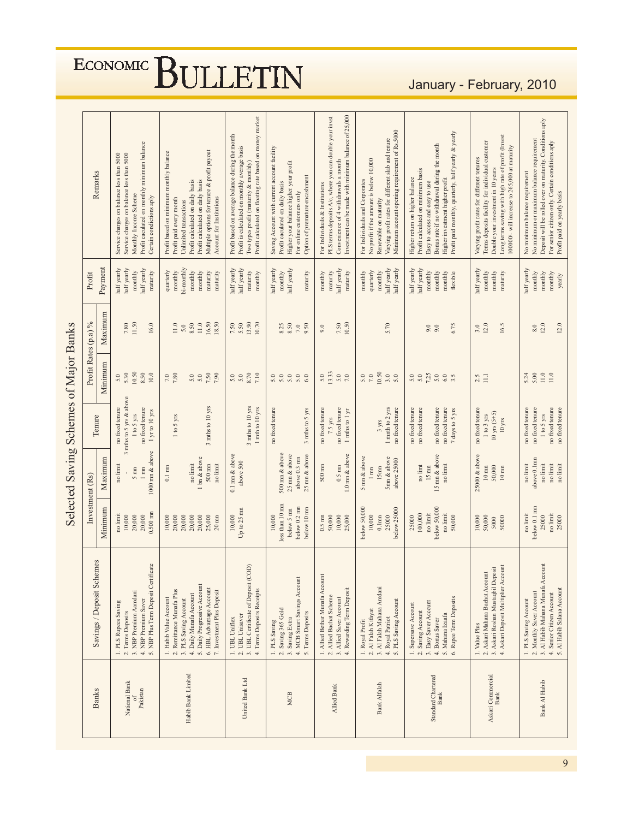| <b>Banks</b>                      | Savings / Deposit Schemes                                                                                                                                                                         | Investment (Rs)                                                             |                                                                                  | Tenure                                                                                            |                                                     | Profit Rates (p.a) %                                | Profit                                                                           | Remarks                                                                                                                                                                                                                                            |
|-----------------------------------|---------------------------------------------------------------------------------------------------------------------------------------------------------------------------------------------------|-----------------------------------------------------------------------------|----------------------------------------------------------------------------------|---------------------------------------------------------------------------------------------------|-----------------------------------------------------|-----------------------------------------------------|----------------------------------------------------------------------------------|----------------------------------------------------------------------------------------------------------------------------------------------------------------------------------------------------------------------------------------------------|
|                                   |                                                                                                                                                                                                   | Minimum                                                                     | Maximum                                                                          |                                                                                                   | Minimum                                             | Maximum                                             | Payment                                                                          |                                                                                                                                                                                                                                                    |
| National Bank<br>Pakistan<br>Ġ    | 5. NBP Plus Term Deposit Certificate<br>3. NBP Premium Aamdani<br>4. NBP Premium Saver<br>1. PLS Rupees Saving<br>2. Terms Deposits                                                               | $0.500$ mm<br>no limit<br>20,000<br>20,000<br>10,000                        | 1000 mn & above<br>no limit<br>$5 \mathrm{~mm}$<br>$1 \text{ mm}$                | 3 mths to 5 yrs & above<br>no fixed tenure<br>no fixed tenure<br>1 yr to 10 yrs<br>$1$ to $5$ yrs | 10.50<br>8.50<br>5.30<br>10.0<br>5.0                | 11.50<br>7.80<br>16.0                               | half yearly<br>half yearly<br>half yearly<br>maturity<br>monthly                 | Profit caculated on monthly minimum balance<br>Service charges on balance less than 5000<br>Service charges on balance less than 5000<br>Monthly Income Scheme<br>Certain condictions aply                                                         |
| Habib Bank Limited                | 5. Daily Progressive Account<br>6. HBL Advantage Account<br>2. Remittance Munafa Plus<br>7. Investment Plus Deposit<br>4. Daily Munafa Account<br>1. Habib Value Account<br>3. PLS Saving Account | 20,000<br>20,000<br>20,000<br>25,000<br>10,000<br>20,000<br>$20 \text{ mm}$ | 1 bn & above<br>$500$ mm<br>no limit<br>no limit<br>$0.1~\mathrm{mm}$            | 3 mths to 10 yrs<br>1 to 5 yrs                                                                    | 7.50<br>$7.80\,$<br>7.90<br>7.0<br>5.0<br>$5.0\,$   | 16.50<br>18.50<br>8.50<br>$11.0$<br>$11.0\,$<br>5.0 | bi-monthly<br>quarterly<br>monthly<br>monthly<br>monthly<br>maturity<br>maturity | Multiple options for tenure & profit payout<br>Profit based on minimum monthly balance<br>Profit calculated on daily basis<br>Profit calculated on daily basis<br>Profit paid every month<br>Account for Institutions<br>Unlimited transactions    |
| United Bank Ltd                   | 3. UBL Certificate of Deposit (COD)<br>4. Terms Deposits Receipts<br>2. UBL Unisaver<br>1. UBL Uniflex                                                                                            | Up to $25 \text{ mm}$<br>10,000                                             | $0.1$ mn $\&$ above<br>above 500                                                 | $3$ mths to $10\ \mathrm{yrs}$<br>1 mth to 10 yrs                                                 | 8.70<br>7.10<br>5.0<br>5.0                          | 13.90<br>10.70<br>7.50<br>5.50                      | half yearly<br>half yearly<br>maturity<br>monthly                                | Profit calculated on floating rate based on money market<br>Profit based on average balance during the month<br>Profit is calculated on monthly average basis<br>Two types profit (maturity & monthly)                                             |
| <b>MCB</b>                        | 4. MCB Smart Savings Account<br>2. Saving 365 Gold<br>5. Terms Deposits<br>3. Saving Extra<br>1. PLS Saving                                                                                       | less than 10 mm<br>below 0.2 mn<br>below 5 mn<br>below 10 mm<br>10,000      | 500 mn & above<br>$25 \text{ nm}$ & above<br>25 mn & above<br>above 0.3 mn       | no fixed tenure<br>3 mths to 5 yrs                                                                | 5.0<br>5.0<br>5.0<br>5.0<br>6.0                     | 8.25<br>8.50<br>9.50<br>$7.0\,$                     | half yearly<br>half yearly<br>monthly<br>maturity                                | Saving Account with current account facility<br>Higher your balance higher your profit<br>Option of premature encashment<br>Profit caculated on daily basis<br>For online customers only                                                           |
| Allied Bank                       | 1. Allied Bethar Munafa Account<br>4. Rewarding Term Deposit<br>2. Allied Bachat Scheme<br>3. Allied Saver Account                                                                                | 10,000<br>50,000<br>$0.5~\rm{mm}$<br>25,000                                 | $1.0$ mm $\&$ above<br>$500$ mm<br>$0.5~\rm{mm}$                                 | no fixed tenure<br>no fixed tenure<br>1 mths to 1 yr<br>7.5 yrs                                   | 13.33<br>5.0<br>5.0<br>$7.0\,$                      | 10.50<br>7.50<br>9.0                                | half yearly<br>maturity<br>maturity<br>monthly                                   | Investment can be made with minimum balance of 25,000<br>PLS terms depsoits A/c, where you can double your invst<br>Convenience of 4 withdrawals a month<br>For Individuals & Institutions                                                         |
| Bank Alfalah                      | 3. Al Falah Mahana Amdani<br>5. PLS Saving Account<br>2. Al Falah Kifayat<br>4. Royal Patriot<br>1. Royal Profit                                                                                  | below 50,000<br>below 25000<br>10,000<br>$0.1\mathrm{mm}$<br>25000          | 5 mm & above<br>5mm & above<br>above 25000<br>15 <sub>mn</sub><br>$1 \text{ mm}$ | 1 mnth to 2 yrs<br>no fixed tenure<br>3 yrs                                                       | 10.50<br>$7.0\,$<br>$3.0$<br>$5.0$<br>5.0           | 5.70                                                | half yearly<br>half yearly<br>quarterly<br>monthly<br>monthly                    | Minimum account opening requirement of Rs.5000<br>Varying profit rates for different slab and tenure<br>No profit if the amount is below 10,000<br>For Individuals and Corporates<br>Renewable on maturity                                         |
| Standard Chartered<br><b>Bank</b> | Rupee Term Deposits<br>3. Easy Saver Account<br>1. Supersave Account<br>2. Saving Account<br>5. Mahana Izaafa<br>4. Bonus Saver<br>$\acute{\circ}$                                                | below 50,000<br>100,000<br>no limit<br>no limit<br>50,000<br>25000          | 15 mn & above<br>no limit<br>$\mathop{\rm no}\limits$ limt<br>$15\ \mathrm{nm}$  | no fixed tenure<br>no fixed tenure<br>no fixed tenure<br>no fixed tenure<br>7 days to 5 yrs       | 7.25<br>$5.0\,$<br>5.0<br>$6.0\,$<br>$5.0\,$<br>3.5 | 6.75<br>9.0<br>9.0                                  | half yearly<br>half yearly<br>monthly<br>monthly<br>monthly<br>flexible          | Profit paid monthly, quarterly, half yearly & yearly<br>Bonus rate if no withdrawal during the month<br>Profit calculated on minimum basis<br>Higher return on higher balance<br>Higher investment higher profit<br>Easy to access and easy to use |
| Askari Commercial<br>Bank         | 4. Askari Deposit Multiplier Account<br>3. Askari Roshan Mustaqbil Deposit<br>2. Askari Mahana Bachat Account<br>1. Value Plus                                                                    | 50,000<br>10,000<br>50000<br>5000                                           | 25000 & above<br>50,000<br>$10\;{\rm nm}$<br>$10 \text{ mm}$                     | no fixed tenure<br>$10$ yrs $(5+5)$<br>1 to 3 yrs<br>$10 \mathrm{\,yrs}$                          | $\Xi$<br>2.5                                        | 12.0<br>16.5<br>3.0                                 | half yearly<br>monthly<br>$\rm{mondly}$<br>maturity                              | Long terms saving with high rate of profit (Invest<br>Terms deposits facility for individual customer<br>100000/- will increase to 265,000 at maturity<br>Varying profit rates for different tenures<br>Double your investment in 10 years         |
| Bank Al Habib                     | $3.$ Al Habib Mahana Munafa Account $4.$ Senior Citizen Account $\,$<br>5. Al Habib Salana Account<br>2. Monthly Saver Account<br>1. PLS Saving Account                                           | below 0.1 mm<br>no limit<br>no limit<br>25000<br>25000                      | above 0.1mm<br>no limit<br>no limit<br>no limit<br>no limit                      | no fixed tenure<br>no fixed tenure<br>no fixed tenure<br>no fixed tenure<br>1 to 5 yrs            | $11.0$<br>$11.0$<br>5.24<br>5.00                    | 12.0<br>12.0<br>8.0                                 | half yearly<br>monthly<br>monthly<br>monthly<br>yearly                           | Deposit will be rolled over on maturity. Conditions aply<br>No minimum or maximum balance requirement<br>For senior citizen only. Certain conditions aply<br>No minimum balance requirement<br>Profit paid on yearly basis                         |

# Selected Saving Schemes of Major Banks

# January - February, 2010

# ECONOMIC BULLETIN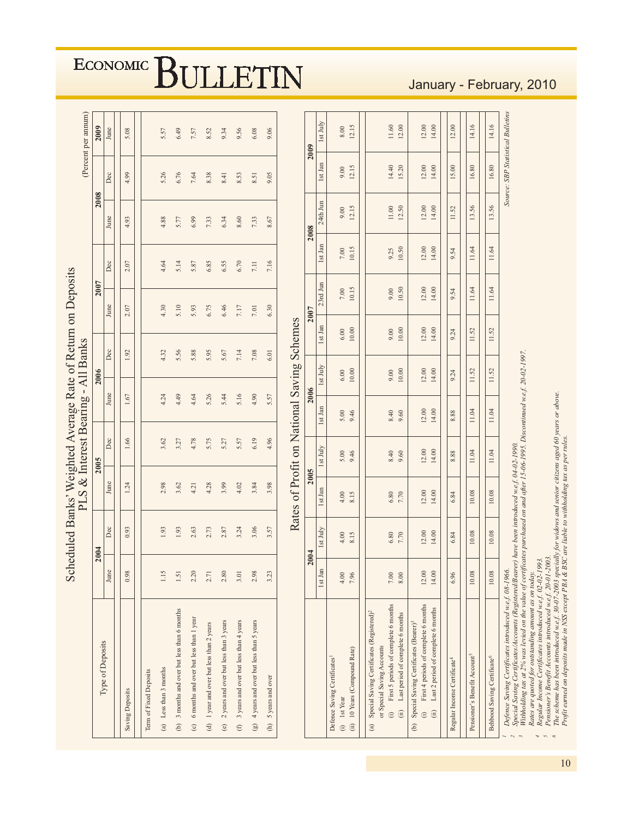| Type of Deposits                                                                                                                                                                                                                                                                                                                                       |                  | 2004           |                  | 2005                               |                | 2006             |                  | 2007                                         |                  | 2008                 |                                   | 2009                  |
|--------------------------------------------------------------------------------------------------------------------------------------------------------------------------------------------------------------------------------------------------------------------------------------------------------------------------------------------------------|------------------|----------------|------------------|------------------------------------|----------------|------------------|------------------|----------------------------------------------|------------------|----------------------|-----------------------------------|-----------------------|
|                                                                                                                                                                                                                                                                                                                                                        | June             | Dec            | June             | Dec                                | June           |                  | Dec              | June                                         | Dec              | June                 | Dec                               | June                  |
| Saving Deposits                                                                                                                                                                                                                                                                                                                                        | 0.98             | 0.93           | 1.24             | 1.66                               | 1.67           | 1.92             |                  | 2.07                                         | 2.07             | 4.93                 | 4.99                              | 5.08                  |
| <b>Term of Fixed Deposits</b>                                                                                                                                                                                                                                                                                                                          |                  |                |                  |                                    |                |                  |                  |                                              |                  |                      |                                   |                       |
| (a) Less than 3 months                                                                                                                                                                                                                                                                                                                                 | 1.15             | 1.93           | 2.98             | 3.62                               | 4.24           | 4.32             |                  | 4.30                                         | 4.64             | 4.88                 | 5.26                              | 5.57                  |
| 3 months and over but less than 6 months<br>$\ddot{e}$                                                                                                                                                                                                                                                                                                 | $1.51\,$         | 1.93           | 3.62             | 3.27                               | 4.49           | 5.56             |                  | 5.10                                         | 5.14             | 5.77                 | 6.76                              | 6.49                  |
| 6 months and over but less than 1 year<br>$\odot$                                                                                                                                                                                                                                                                                                      | 2.20             | 2.63           | 4.21             | 4.78                               | 4.64           | 5.88             |                  | 5.93                                         | 5.87             | 6.99                 | 7.64                              | 7.57                  |
| 1 year and over but less than 2 years<br>$\Theta$                                                                                                                                                                                                                                                                                                      | 2.71             | 2.73           | 4.28             | 5.75                               | 5.26           | 5.95             |                  | 6.75                                         | 6.85             | 7.33                 | 8.38                              | 8.52                  |
| 2 years and over but less than 3 years<br>$\odot$                                                                                                                                                                                                                                                                                                      | 2.80             | 2.87           | 3.99             | 5.27                               | 5.44           | 5.67             |                  | 6.46                                         | 6.55             | 6.34                 | 8.41                              | 9.34                  |
| 3 years and over but less than 4 years<br>$\oplus$                                                                                                                                                                                                                                                                                                     | 3.01             | 3.24           | 4.02             | 5.57                               | 5.16           | 7.14             |                  | $7.17$                                       | 6.70             | 8.60                 | 8.53                              | 9.56                  |
| 4 years and over but less than 5 years<br>$\left( \frac{9}{2} \right)$                                                                                                                                                                                                                                                                                 | 2.98             | 3.06           | 3.84             | 6.19                               | 4.90           | $7.08\,$         |                  | $7.01$                                       | $7.11$           | 7.33                 | 8.51                              | 6.08                  |
| 5 years and over<br>$\widehat{\Xi}$                                                                                                                                                                                                                                                                                                                    | 3.23             | 3.57           | 3.98             | 4.96                               | 5.57           | 6.01             |                  | 6.30                                         | 7.16             | 8.67                 | 9.05                              | 9.06                  |
|                                                                                                                                                                                                                                                                                                                                                        |                  | 2004           | 2005             | Rates of Profit on National Saving | 2006           |                  | Schemes          | 2007                                         |                  | 2008                 |                                   | 2009                  |
|                                                                                                                                                                                                                                                                                                                                                        | 1st Jan          | Ist July       | $1st$ Jan $\,$   | Ist July                           | 1st Jan        | Ist July         | $1st$ Jan        | $23rd$ Jun                                   | 1st Jan          | $24th\,\mathrm{Jun}$ | 1st Jan                           | Ist July              |
| Defence Saving Certificates <sup>1</sup><br>(i) 1st Year                                                                                                                                                                                                                                                                                               | $4.00$           | $4.00$<br>8.15 | $4.00$<br>8.15   | 5.00<br>9.46                       | 5.00<br>9.46   | $6.00$<br>10.00  | $6.00$<br>10.00  | $7.00\,$                                     | $7.00\,$         | 9.00                 | $9.00$<br>12.15                   | $8.00\,$              |
| 10 Years (Compound Rate)<br>(ii)                                                                                                                                                                                                                                                                                                                       | 7.96             |                |                  |                                    |                |                  |                  | 10.15                                        | 10.15            | 12.15                |                                   | 12.15                 |
| First 5 periods of complete 6 months<br>Special Saving Certificates (Registered) <sup>2</sup><br>Last period of complete 6 months<br>or Special Saving Accounts<br>$\odot$<br>(ii)<br>$\binom{a}{b}$                                                                                                                                                   | $7.00\,$<br>8.00 | $6.80$<br>7.70 | $6.80$<br>7.70   | 8.40<br>9.60                       | $8.40$<br>9.60 | $9.00$<br>10.00  | 0.000            | $\begin{array}{c} 9.00 \\ 10.50 \end{array}$ | 9.25<br>10.50    | $11.00$<br>$12.50$   | 14.40<br>15.20                    | $\frac{11.60}{12.00}$ |
| First 4 periods of complete 6 months<br>Special Saving Certificates (Bearer) <sup>3</sup><br>$\odot$<br>$\Theta$                                                                                                                                                                                                                                       | 12.00            | 12.00          | $12.00$<br>14.00 | 12.00                              | 12.00          | $12.00$<br>14.00 | $12.00$<br>14.00 | 12.00                                        | $12.00$<br>14.00 | 12.00                | $12.00$<br>14.00                  | $12.00$<br>14.00      |
| Last 2 period of complete 6 months<br>(i)                                                                                                                                                                                                                                                                                                              | 14.00            | 14.00          |                  | 14.00                              | 14.00          |                  |                  | 14.00                                        |                  | 14.00                |                                   |                       |
| Regular Income Certificate <sup>4</sup>                                                                                                                                                                                                                                                                                                                | 6.96             | 6.84           | 6.84             | 8.88                               | 8.88           | 9.24             | 9.24             | 9.54                                         | 54<br>o.         | 11.52                | 15.00                             | 12.00                 |
| Pensioner's Benefit Account5                                                                                                                                                                                                                                                                                                                           | 10.08            | 10.08          | 10.08            | 11.04                              | 11.04          | 11.52            | 11.52            | 11.64                                        | 11.64            | 13.56                | 16.80                             | 14.16                 |
| Behbood Saving Certificate <sup>6</sup>                                                                                                                                                                                                                                                                                                                | 10.08            | $10.08\,$      | 10.08            | 11.04                              | 11.04          | 11.52            | 11.52            | 11.64                                        | 11.64            | 13.56                | 16.80                             | 14.16                 |
| Withholding tax at 2% was levied on the value of certificates purchased on and after 15-06-1995. Discontinued w.e.f. 20-02-1997.<br>Defence Saving Certificates introduced w.e.f. 08-1966.<br>Special Saving Certificates/Accounts (Registered/Bearer) have been introduced w.e.f. 04-02-1990.<br>Rates are quoted for outstanding amount as on today. |                  |                |                  |                                    |                |                  |                  |                                              |                  |                      | Source: SBP Statistical Bulletins |                       |

## January - February, 2010

!6

*=@*<sup>2</sup><br>Pensi

oner's Benefi

<sup>o</sup> The scheme has been i.

Profi

t earned on deposi

 *-*

*ntrodu* 

*ced w.e.f.* 30-07-2003 speci

n NSS except PBA & BSC are li

ally for wi

dows and seni

able to wi

*%-*

ng tax as per ru

*%* 

*ar* citi

zens aged 60 years or above.

*\* ,252/5,22A*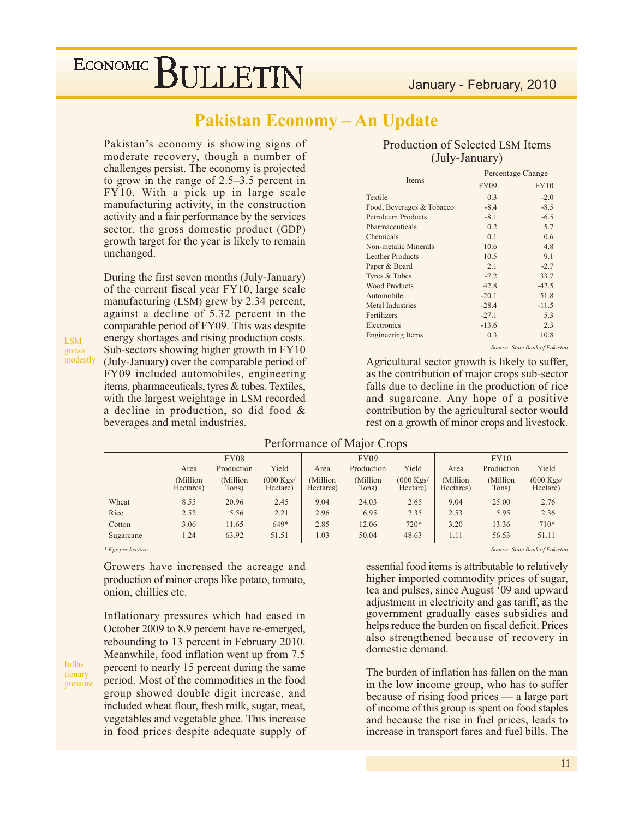## **Pakistan Economy - An Update**

Pakistan's economy is showing signs of moderate recovery, though a number of challenges persist. The economy is projected to grow in the range of  $2.5-3.5$  percent in FY10. With a pick up in large scale manufacturing activity, in the construction activity and a fair performance by the services sector, the gross domestic product (GDP) growth target for the year is likely to remain unchanged.

During the first seven months (July-January) of the current fiscal year FY10, large scale manufacturing (LSM) grew by 2.34 percent, against a decline of 5.32 percent in the comparable period of FY09. This was despite energy shortages and rising production costs. Sub-sectors showing higher growth in FY10 (July-January) over the comparable period of FY09 included automobiles, engineering items, pharmaceuticals, tyres & tubes. Textiles, with the largest weightage in LSM recorded a decline in production, so did food  $\&$ beverages and metal industries.

| Production of Selected LSM Items |  |
|----------------------------------|--|
| (July-January)                   |  |

|                           |             | Percentage Change |  |  |  |
|---------------------------|-------------|-------------------|--|--|--|
| Items                     | <b>FY09</b> | <b>FY10</b>       |  |  |  |
| Textile                   | 0.3         | $-2.0$            |  |  |  |
| Food, Beverages & Tobacco | $-8.4$      | $-8.5$            |  |  |  |
| Petroleum Products        | $-8.1$      | $-6.5$            |  |  |  |
| Pharmaceuticals           | 0.2         | 5.7               |  |  |  |
| Chemicals                 | 0.1         | 0.6               |  |  |  |
| Non-metalic Minerals      | 10.6        | 4.8               |  |  |  |
| <b>Leather Products</b>   | 10.5        | 9.1               |  |  |  |
| Paper & Board             | 2.1         | $-2.7$            |  |  |  |
| Tyres & Tubes             | $-7.2$      | 33.7              |  |  |  |
| <b>Wood Products</b>      | 42.8        | $-42.5$           |  |  |  |
| Automobile                | $-20.1$     | 51.8              |  |  |  |
| Metal Industries          | $-28.4$     | $-11.5$           |  |  |  |
| Fertilizers               | $-27.1$     | 5.3               |  |  |  |
| Electronics               | $-13.6$     | 2.3               |  |  |  |
| <b>Engineering Items</b>  | 0.3         | 10.8              |  |  |  |

Source: State Bank of Pakistan

Agricultural sector growth is likely to suffer, as the contribution of major crops sub-sector falls due to decline in the production of rice and sugarcane. Any hope of a positive contribution by the agricultural sector would rest on a growth of minor crops and livestock.

|                    |                       | <b>FY08</b>        |                                 |                        | FY09               |                                 |                        | FY10               |                                 |
|--------------------|-----------------------|--------------------|---------------------------------|------------------------|--------------------|---------------------------------|------------------------|--------------------|---------------------------------|
|                    | Area                  | Production         | Yield                           | Area                   | Production         | Yield                           | Area                   | Production         | Yield                           |
|                    | (Million<br>Hectares) | (Million)<br>Tons) | $(000 \text{ Kgs})$<br>Hectare) | (Million)<br>Hectares) | (Million)<br>Tons) | $(000 \text{ Kgs})$<br>Hectare) | (Million)<br>Hectares) | (Million)<br>Tons) | $(000 \text{ Kgs})$<br>Hectare) |
| Wheat              | 8.55                  | 20.96              | 2.45                            | 9.04                   | 24.03              | 2.65                            | 9.04                   | 25.00              | 2.76                            |
| Rice               | 2.52                  | 5.56               | 2.21                            | 2.96                   | 6.95               | 2.35                            | 2.53                   | 5.95               | 2.36                            |
| Cotton             | 3.06                  | 11.65              | 649*                            | 2.85                   | 12.06              | $720*$                          | 3.20                   | 13.36              | $710*$                          |
| Sugarcane          | 1.24                  | 63.92              | 51.51                           | 1.03                   | 50.04              | 48.63                           | 1.11                   | 56.53              | 51.11                           |
| * Kgs per hectare. |                       |                    |                                 |                        |                    |                                 |                        |                    | Source: State Bank of Pakistan  |

#### Performance of Major Crops

 $*$  Kgs per hectare.

Growers have increased the acreage and production of minor crops like potato, tomato, onion, chillies etc.

Inflationary pressures which had eased in October 2009 to 8.9 percent have re-emerged, rebounding to 13 percent in February 2010. Meanwhile, food inflation went up from 7.5 percent to nearly 15 percent during the same period. Most of the commodities in the food group showed double digit increase, and included wheat flour, fresh milk, sugar, meat, vegetables and vegetable ghee. This increase in food prices despite adequate supply of

essential food items is attributable to relatively higher imported commodity prices of sugar, tea and pulses, since August '09 and upward adjustment in electricity and gas tariff, as the government gradually eases subsidies and helps reduce the burden on fiscal deficit. Prices also strengthened because of recovery in

The burden of inflation has fallen on the man in the low income group, who has to suffer because of rising food prices  $-$  a large part of income of this group is spent on food staples and because the rise in fuel prices, leads to increase in transport fares and fuel bills. The

domestic demand.

Inflationary pressure

**LSM** 

grows modestly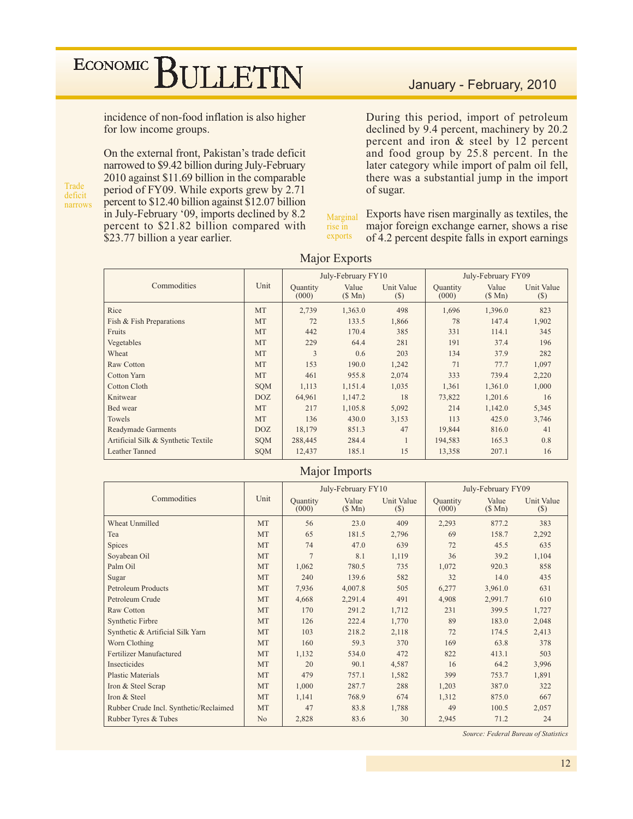incidence of non-food inflation is also higher for low income groups.

Trade deficit narrows On the external front, Pakistan's trade deficit narrowed to \$9.42 billion during July-February 2010 against \$11.69 billion in the comparable period of FY09. While exports grew by 2.71 percent to \$12.40 billion against \$12.07 billion in July-February '09, imports declined by 8.2 percent to \$21.82 billion compared with \$23.77 billion a year earlier.

During this period, import of petroleum declined by 9.4 percent, machinery by 20.2 percent and iron & steel by 12 percent and food group by 25.8 percent. In the later category while import of palm oil fell, there was a substantial jump in the import of sugar.

Exports have risen marginally as textiles, the Marginal major foreign exchange earner, shows a rise rise in exports of 4.2 percent despite falls in export earnings

|                                     |            |                          | July-February FY10 |                      | July-February FY09 |                 |                      |
|-------------------------------------|------------|--------------------------|--------------------|----------------------|--------------------|-----------------|----------------------|
| Commodities                         | Unit       | <b>Quantity</b><br>(000) | Value<br>(S Mn)    | Unit Value<br>$(\$)$ | Quantity<br>(000)  | Value<br>(S Mn) | Unit Value<br>$(\$)$ |
| Rice                                | MT         | 2,739                    | 1,363.0            | 498                  | 1,696              | 1,396.0         | 823                  |
| Fish & Fish Preparations            | MT         | 72                       | 133.5              | 1,866                | 78                 | 147.4           | 1,902                |
| Fruits                              | MT         | 442                      | 170.4              | 385                  | 331                | 114.1           | 345                  |
| Vegetables                          | MT         | 229                      | 64.4               | 281                  | 191                | 37.4            | 196                  |
| Wheat                               | <b>MT</b>  | 3                        | 0.6                | 203                  | 134                | 37.9            | 282                  |
| Raw Cotton                          | <b>MT</b>  | 153                      | 190.0              | 1,242                | 71                 | 77.7            | 1,097                |
| <b>Cotton Yarn</b>                  | MT         | 461                      | 955.8              | 2,074                | 333                | 739.4           | 2,220                |
| <b>Cotton Cloth</b>                 | <b>SQM</b> | 1,113                    | 1,151.4            | 1,035                | 1,361              | 1,361.0         | 1,000                |
| Knitwear                            | DOZ.       | 64,961                   | 1,147.2            | 18                   | 73,822             | 1,201.6         | 16                   |
| Bed wear                            | <b>MT</b>  | 217                      | 1,105.8            | 5,092                | 214                | 1,142.0         | 5,345                |
| Towels                              | MT         | 136                      | 430.0              | 3,153                | 113                | 425.0           | 3,746                |
| <b>Readymade Garments</b>           | DOZ.       | 18,179                   | 851.3              | 47                   | 19,844             | 816.0           | 41                   |
| Artificial Silk & Synthetic Textile | <b>SQM</b> | 288,445                  | 284.4              |                      | 194,583            | 165.3           | 0.8                  |
| Leather Tanned                      | <b>SOM</b> | 12,437                   | 185.1              | 15                   | 13,358             | 207.1           | 16                   |

#### **Major Exports**

#### Major Imports

|                                        |                |                          | July-February FY10 |                      |                   | July-February FY09 |                      |
|----------------------------------------|----------------|--------------------------|--------------------|----------------------|-------------------|--------------------|----------------------|
| Commodities                            | Unit           | <b>Quantity</b><br>(000) | Value<br>(\$Mn)    | Unit Value<br>$(\$)$ | Quantity<br>(000) | Value<br>(\$Mn)    | Unit Value<br>$(\$)$ |
| <b>Wheat Unmilled</b>                  | <b>MT</b>      | 56                       | 23.0               | 409                  | 2,293             | 877.2              | 383                  |
| Tea                                    | <b>MT</b>      | 65                       | 181.5              | 2,796                | 69                | 158.7              | 2,292                |
| Spices                                 | <b>MT</b>      | 74                       | 47.0               | 639                  | 72                | 45.5               | 635                  |
| Soyabean Oil                           | <b>MT</b>      | $\overline{7}$           | 8.1                | 1,119                | 36                | 39.2               | 1,104                |
| Palm Oil                               | <b>MT</b>      | 1,062                    | 780.5              | 735                  | 1,072             | 920.3              | 858                  |
| Sugar                                  | <b>MT</b>      | 240                      | 139.6              | 582                  | 32                | 14.0               | 435                  |
| <b>Petroleum Products</b>              | <b>MT</b>      | 7,936                    | 4,007.8            | 505                  | 6,277             | 3,961.0            | 631                  |
| Petroleum Crude                        | <b>MT</b>      | 4,668                    | 2,291.4            | 491                  | 4,908             | 2,991.7            | 610                  |
| Raw Cotton                             | <b>MT</b>      | 170                      | 291.2              | 1,712                | 231               | 399.5              | 1,727                |
| Synthetic Firbre                       | <b>MT</b>      | 126                      | 222.4              | 1,770                | 89                | 183.0              | 2,048                |
| Synthetic & Artificial Silk Yarn       | <b>MT</b>      | 103                      | 218.2              | 2,118                | 72                | 174.5              | 2,413                |
| Worn Clothing                          | <b>MT</b>      | 160                      | 59.3               | 370                  | 169               | 63.8               | 378                  |
| Fertilizer Manufactured                | <b>MT</b>      | 1,132                    | 534.0              | 472                  | 822               | 413.1              | 503                  |
| Insecticides                           | <b>MT</b>      | 20                       | 90.1               | 4,587                | 16                | 64.2               | 3,996                |
| <b>Plastic Materials</b>               | <b>MT</b>      | 479                      | 757.1              | 1,582                | 399               | 753.7              | 1,891                |
| Iron & Steel Scrap                     | <b>MT</b>      | 1,000                    | 287.7              | 288                  | 1,203             | 387.0              | 322                  |
| Iron & Steel                           | <b>MT</b>      | 1,141                    | 768.9              | 674                  | 1,312             | 875.0              | 667                  |
| Rubber Crude Incl. Synthetic/Reclaimed | <b>MT</b>      | 47                       | 83.8               | 1,788                | 49                | 100.5              | 2,057                |
| Rubber Tyres & Tubes                   | N <sub>o</sub> | 2,828                    | 83.6               | 30                   | 2,945             | 71.2               | 24                   |

Source: Federal Bureau of Statistics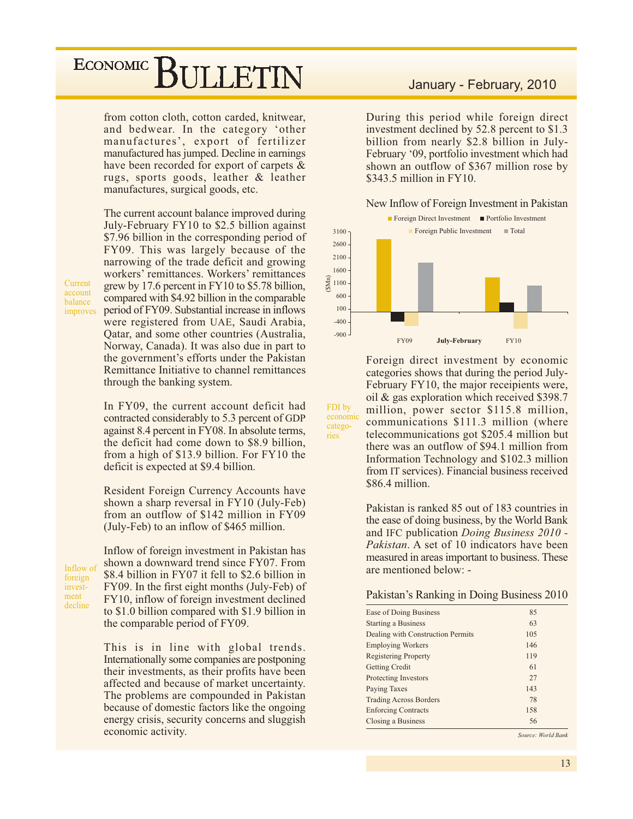## ECONOMIC<sup>]</sup> **BULLETIN**

from cotton cloth, cotton carded, knitwear, and bedwear. In the category 'other manufactures', export of fertilizer manufactured has jumped. Decline in earnings have been recorded for export of carpets & rugs, sports goods, leather & leather manufactures, surgical goods, etc.

The current account balance improved during July-February FY10 to \$2.5 billion against \$7.96 billion in the corresponding period of FY09. This was largely because of the narrowing of the trade deficit and growing workers' remittances. Workers' remittances grew by 17.6 percent in FY10 to \$5.78 billion, compared with \$4.92 billion in the comparable period of FY09. Substantial increase in inflows were registered from UAE, Saudi Arabia, Qatar, and some other countries (Australia, Norway, Canada). It was also due in part to the government's efforts under the Pakistan Remittance Initiative to channel remittances through the banking system.

In FY09, the current account deficit had contracted considerably to 5.3 percent of GDP against 8.4 percent in FY08. In absolute terms, the deficit had come down to \$8.9 billion, from a high of \$13.9 billion. For FY10 the deficit is expected at \$9.4 billion.

Resident Foreign Currency Accounts have shown a sharp reversal in FY10 (July-Feb) from an outflow of \$142 million in FY09 (July-Feb) to an inflow of \$465 million.

Inflow of foreign investment decline

Current

account

balance

improves

Inflow of foreign investment in Pakistan has shown a downward trend since FY07. From \$8.4 billion in FY07 it fell to \$2.6 billion in FY09. In the first eight months (July-Feb) of FY10, inflow of foreign investment declined to \$1.0 billion compared with \$1.9 billion in the comparable period of FY09.

This is in line with global trends. Internationally some companies are postponing their investments, as their profits have been affected and because of market uncertainty. The problems are compounded in Pakistan because of domestic factors like the ongoing energy crisis, security concerns and sluggish economic activity.

## January - February, 2010

During this period while foreign direct investment declined by 52.8 percent to \$1.3 billion from nearly \$2.8 billion in July-February '09, portfolio investment which had shown an outflow of \$367 million rose by  $$343.5$  million in FY10.

#### New Inflow of Foreign Investment in Pakistan



Foreign direct investment by economic categories shows that during the period July-February FY10, the major receipients were, oil & gas exploration which received \$398.7 million, power sector \$115.8 million, communications \$111.3 million (where telecommunications got \$205.4 million but there was an outflow of \$94.1 million from Information Technology and \$102.3 million from IT services). Financial business received \$86.4 million.

FDI by

catego-

ries

economic

Pakistan is ranked 85 out of 183 countries in the ease of doing business, by the World Bank and IFC publication *Doing Business 2010 -Pakistan.* A set of 10 indicators have been measured in areas important to business. These are mentioned below: -

#### Pakistan's Ranking in Doing Business 2010

| 85  |  |
|-----|--|
| 63  |  |
| 105 |  |
| 146 |  |
| 119 |  |
| 61  |  |
| 27  |  |
| 143 |  |
| 78  |  |
| 158 |  |
| 56  |  |
|     |  |

Source: World Bank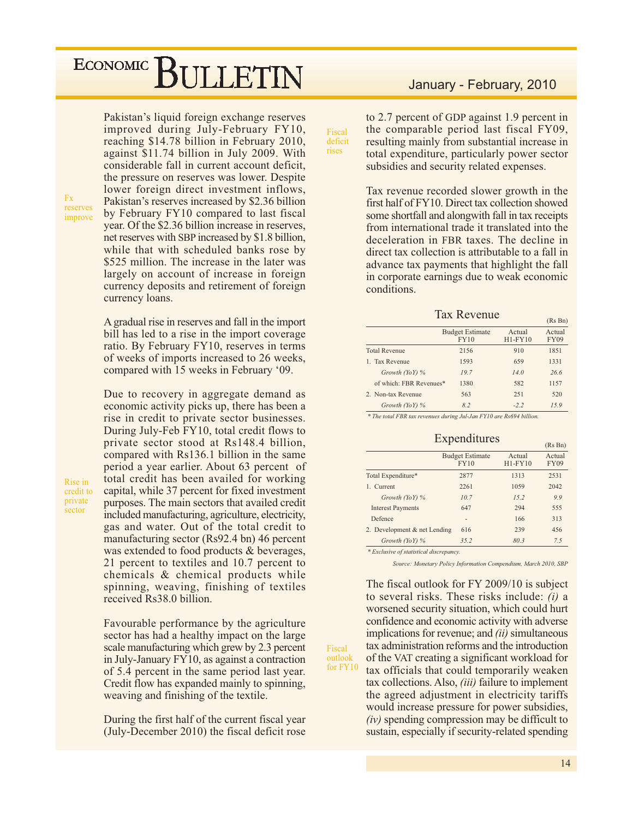## ECONOMIC<sup>1</sup> **SULLETIN**

Pakistan's liquid foreign exchange reserves improved during July-February FY10, reaching \$14.78 billion in February 2010, against \$11.74 billion in July 2009. With considerable fall in current account deficit, the pressure on reserves was lower. Despite lower foreign direct investment inflows, Pakistan's reserves increased by \$2.36 billion by February FY10 compared to last fiscal year. Of the \$2.36 billion increase in reserves, net reserves with SBP increased by \$1.8 billion, while that with scheduled banks rose by \$525 million. The increase in the later was largely on account of increase in foreign currency deposits and retirement of foreign currency loans.

Fx reserves improve

Rise in

sector

credit to private

A gradual rise in reserves and fall in the import bill has led to a rise in the import coverage ratio. By February FY10, reserves in terms of weeks of imports increased to 26 weeks, compared with 15 weeks in February '09.

Due to recovery in aggregate demand as economic activity picks up, there has been a rise in credit to private sector businesses. During July-Feb FY10, total credit flows to private sector stood at Rs148.4 billion, compared with Rs136.1 billion in the same period a year earlier. About 63 percent of total credit has been availed for working capital, while 37 percent for fixed investment purposes. The main sectors that availed credit included manufacturing, agriculture, electricity, gas and water. Out of the total credit to manufacturing sector (Rs92.4 bn) 46 percent was extended to food products & beverages, 21 percent to textiles and 10.7 percent to chemicals & chemical products while spinning, weaving, finishing of textiles received Rs38.0 billion.

Favourable performance by the agriculture sector has had a healthy impact on the large scale manufacturing which grew by 2.3 percent in July-January FY10, as against a contraction of 5.4 percent in the same period last year. Credit flow has expanded mainly to spinning, weaving and finishing of the textile.

During the first half of the current fiscal year (July-December 2010) the fiscal deficit rose

## January - February, 2010

to 2.7 percent of GDP against 1.9 percent in the comparable period last fiscal FY09, resulting mainly from substantial increase in total expenditure, particularly power sector subsidies and security related expenses.

Fiscal

deficit

rises

Tax revenue recorded slower growth in the first half of FY10. Direct tax collection showed some shortfall and alongwith fall in tax receipts from international trade it translated into the deceleration in FBR taxes. The decline in direct tax collection is attributable to a fall in advance tax payments that highlight the fall in corporate earnings due to weak economic conditions.

**Tax Revenue** 

|                         |                                |                     | $(Ks$ Bn $)$          |
|-------------------------|--------------------------------|---------------------|-----------------------|
|                         | <b>Budget Estimate</b><br>FY10 | Actual<br>$H1-FY10$ | Actual<br><b>FY09</b> |
| <b>Total Revenue</b>    | 2156                           | 910                 | 1851                  |
| 1. Tax Revenue          | 1593                           | 659                 | 1331                  |
| Growth $(YoY)$ %        | 19.7                           | 14.0                | 26.6                  |
| of which: FBR Revenues* | 1380                           | 582                 | 1157                  |
| 2. Non-tax Revenue      | 563                            | 251                 | 520                   |
| Growth $(YoY)$ %        | 8.2                            | $-2.2$              | 15.9                  |
|                         |                                |                     |                       |

\* The total FBR tax revenues during Jul-Jan FY10 are Rs694 billion.

| Expenditures |  |  |
|--------------|--|--|

|                              |                                       |                     | (Rs Bn)               |
|------------------------------|---------------------------------------|---------------------|-----------------------|
|                              | <b>Budget Estimate</b><br><b>FY10</b> | Actual<br>$H1-FY10$ | Actual<br><b>FY09</b> |
| Total Expenditure*           | 2877                                  | 1313                | 2531                  |
| 1. Current                   | 2261                                  | 1059                | 2042                  |
| Growth $(YoY)$ %             | 10.7                                  | 15.2                | 9.9                   |
| <b>Interest Payments</b>     | 647                                   | 294                 | 555                   |
| Defence                      | ۰                                     | 166                 | 313                   |
| 2. Development & net Lending | 616                                   | 239                 | 456                   |
| Growth $(YoY)$ %             | 35.2                                  | 80.3                | 7.5                   |
|                              |                                       |                     |                       |

\* Exclusive of statistical discrepancy

Fiscal

outlook

for FY10

Source: Monetary Policy Information Compendium, March 2010, SBP

The fiscal outlook for FY 2009/10 is subject to several risks. These risks include:  $(i)$  a worsened security situation, which could hurt confidence and economic activity with adverse implications for revenue; and *(ii)* simultaneous tax administration reforms and the introduction of the VAT creating a significant workload for tax officials that could temporarily weaken tax collections. Also, *(iii)* failure to implement the agreed adjustment in electricity tariffs would increase pressure for power subsidies.  $(iv)$  spending compression may be difficult to sustain, especially if security-related spending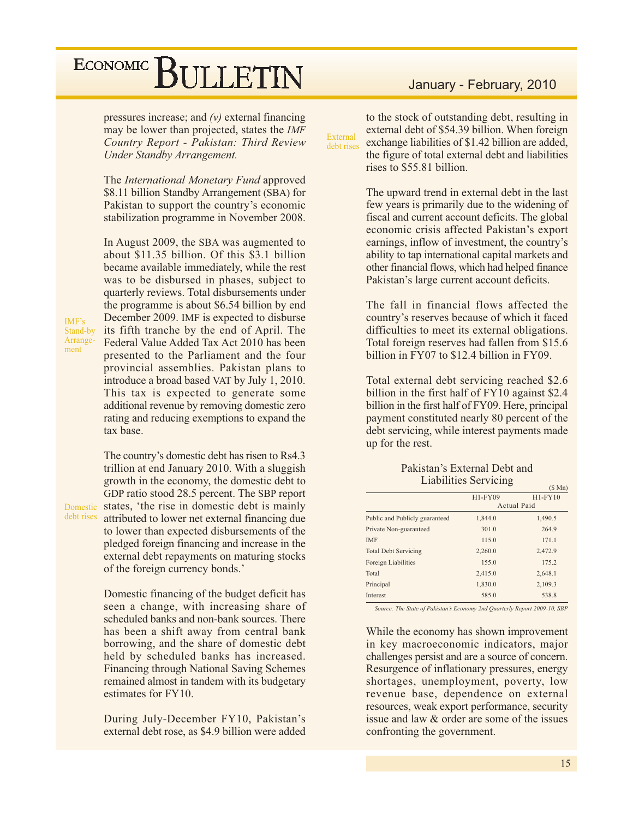pressures increase; and  $(v)$  external financing may be lower than projected, states the IMF Country Report - Pakistan: Third Review Under Standby Arrangement.

The *International Monetary Fund* approved \$8.11 billion Standby Arrangement (SBA) for Pakistan to support the country's economic stabilization programme in November 2008.

In August 2009, the SBA was augmented to about \$11.35 billion. Of this \$3.1 billion became available immediately, while the rest was to be disbursed in phases, subject to quarterly reviews. Total disbursements under the programme is about \$6.54 billion by end December 2009. IMF is expected to disburse its fifth tranche by the end of April. The Federal Value Added Tax Act 2010 has been presented to the Parliament and the four provincial assemblies. Pakistan plans to introduce a broad based VAT by July 1, 2010. This tax is expected to generate some additional revenue by removing domestic zero rating and reducing exemptions to expand the tax base.

 $IMF's$ Stand-by

ment

Arrange-

The country's domestic debt has risen to Rs4.3 trillion at end January 2010. With a sluggish growth in the economy, the domestic debt to GDP ratio stood 28.5 percent. The SBP report Domestic states, 'the rise in domestic debt is mainly debt rises attributed to lower net external financing due to lower than expected disbursements of the pledged foreign financing and increase in the external debt repayments on maturing stocks of the foreign currency bonds.'

> Domestic financing of the budget deficit has seen a change, with increasing share of scheduled banks and non-bank sources. There has been a shift away from central bank borrowing, and the share of domestic debt held by scheduled banks has increased. **Financing through National Saving Schemes** remained almost in tandem with its budgetary estimates for FY10.

> During July-December FY10, Pakistan's external debt rose, as \$4.9 billion were added

## January - February, 2010

to the stock of outstanding debt, resulting in external debt of \$54.39 billion. When foreign External exchange liabilities of \$1.42 billion are added, debt rises the figure of total external debt and liabilities rises to \$55.81 billion.

> The upward trend in external debt in the last few years is primarily due to the widening of fiscal and current account deficits. The global economic crisis affected Pakistan's export earnings, inflow of investment, the country's ability to tap international capital markets and other financial flows, which had helped finance Pakistan's large current account deficits.

> The fall in financial flows affected the country's reserves because of which it faced difficulties to meet its external obligations. Total foreign reserves had fallen from \$15.6 billion in FY07 to \$12.4 billion in FY09.

> Total external debt servicing reached \$2.6 billion in the first half of FY10 against \$2.4 billion in the first half of FY09. Here, principal payment constituted nearly 80 percent of the debt servicing, while interest payments made up for the rest.

#### Pakistan's External Debt and **Liabilities Servicing**

|         | $(5 \text{ Mn})$ |
|---------|------------------|
| H1-FY09 | $H1-FY10$        |
|         | Actual Paid      |
| 1,844.0 | 1,490.5          |
| 301.0   | 264.9            |
| 115.0   | 171.1            |
| 2,260.0 | 2,472.9          |
| 155.0   | 175.2            |
| 2.415.0 | 2.648.1          |
| 1,830.0 | 2,109.3          |
| 585.0   | 538.8            |
|         |                  |

Source: The State of Pakistan's Economy 2nd Quarterly Report 2009-10, SBP

While the economy has shown improvement in key macroeconomic indicators, major challenges persist and are a source of concern. Resurgence of inflationary pressures, energy shortages, unemployment, poverty, low revenue base, dependence on external resources, weak export performance, security issue and law & order are some of the issues confronting the government.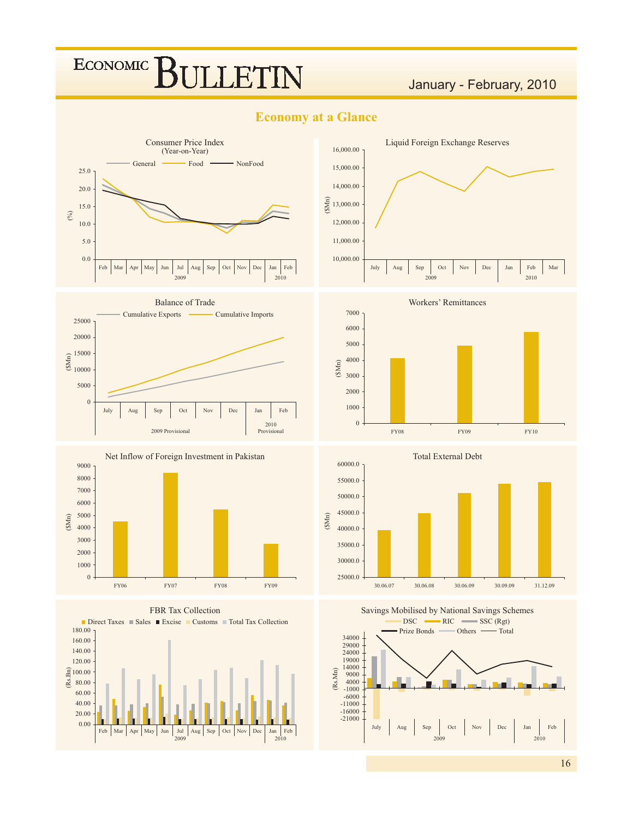## ECONOMIC<sup>]</sup> **BULLETIN**

## January - February, 2010

## **Economy at a Glance**







#### FBR Tax Collection









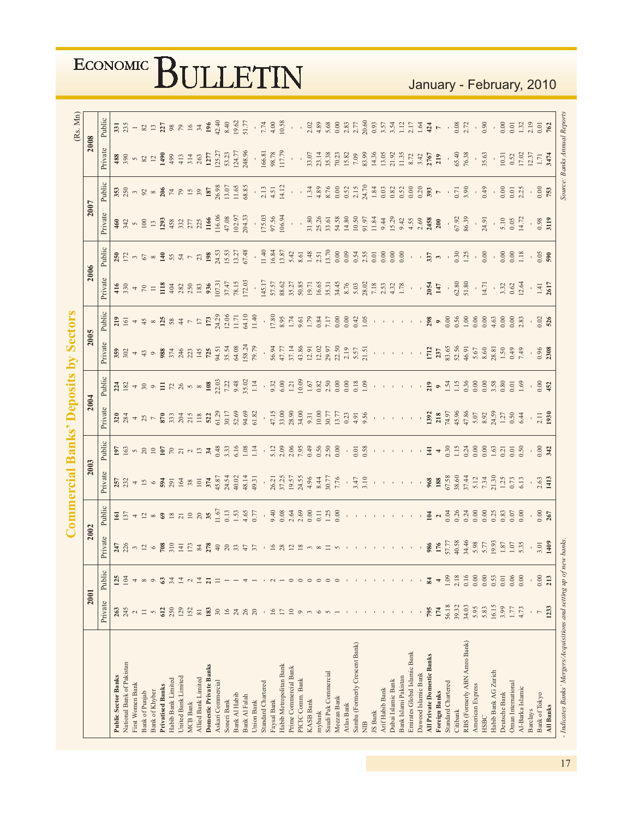|                                                                     |                      |                |                                                        |                                                                     | <b>Commercial Banks' Deposits by</b>             |                                                                                    |                                                                                                                                                |                                                                                                                                                                                                                                                                                             |                                                                                                                                                                                                                                                                                                               | <b>Sectors</b>          |                                                                                                                                                                                                                                                                                                             |                                                                                                                                                                                                                                                                                                                                    |                                                 |                                    |                                                                                                                                        | (Rs. Mn)                                                                                                                                                                                                                                                                                                    |
|---------------------------------------------------------------------|----------------------|----------------|--------------------------------------------------------|---------------------------------------------------------------------|--------------------------------------------------|------------------------------------------------------------------------------------|------------------------------------------------------------------------------------------------------------------------------------------------|---------------------------------------------------------------------------------------------------------------------------------------------------------------------------------------------------------------------------------------------------------------------------------------------|---------------------------------------------------------------------------------------------------------------------------------------------------------------------------------------------------------------------------------------------------------------------------------------------------------------|-------------------------|-------------------------------------------------------------------------------------------------------------------------------------------------------------------------------------------------------------------------------------------------------------------------------------------------------------|------------------------------------------------------------------------------------------------------------------------------------------------------------------------------------------------------------------------------------------------------------------------------------------------------------------------------------|-------------------------------------------------|------------------------------------|----------------------------------------------------------------------------------------------------------------------------------------|-------------------------------------------------------------------------------------------------------------------------------------------------------------------------------------------------------------------------------------------------------------------------------------------------------------|
|                                                                     | 2001                 |                | 2002                                                   |                                                                     | 2003                                             |                                                                                    | 2004                                                                                                                                           |                                                                                                                                                                                                                                                                                             | 2005                                                                                                                                                                                                                                                                                                          |                         | 2006                                                                                                                                                                                                                                                                                                        |                                                                                                                                                                                                                                                                                                                                    | 2007                                            |                                    | 2008                                                                                                                                   |                                                                                                                                                                                                                                                                                                             |
|                                                                     | Private              | Public         | Private                                                | Public                                                              | Private                                          | Public                                                                             | Private                                                                                                                                        | Public                                                                                                                                                                                                                                                                                      | Private                                                                                                                                                                                                                                                                                                       | Public                  | Private                                                                                                                                                                                                                                                                                                     | Public                                                                                                                                                                                                                                                                                                                             | Private                                         | Public                             | Private                                                                                                                                | Public                                                                                                                                                                                                                                                                                                      |
| <b>Public Sector Banks</b>                                          | 263                  | 125            |                                                        |                                                                     |                                                  |                                                                                    |                                                                                                                                                |                                                                                                                                                                                                                                                                                             |                                                                                                                                                                                                                                                                                                               |                         |                                                                                                                                                                                                                                                                                                             |                                                                                                                                                                                                                                                                                                                                    |                                                 |                                    |                                                                                                                                        |                                                                                                                                                                                                                                                                                                             |
| National Bank of Pakistan                                           | 245                  | $\overline{z}$ | $247$<br>$256$<br>$12$                                 | $\frac{6}{2}$ $\frac{1}{2}$ + $\frac{1}{2}$ $\approx$ $\frac{6}{2}$ | $252 + 50$ $-50$ $-50$ $-50$ $-50$ $-50$ $-50$   | $509 - 82527 - 37$                                                                 | $284\n36\n58\n37\n58\n39\n51\n58$                                                                                                              | $\frac{1}{21} \times 10^{11} + 10^{11} + 10^{11} + 10^{11} + 10^{11} + 10^{11} + 10^{11} + 10^{11} + 10^{11} + 10^{11} + 10^{11} + 10^{11} + 10^{11} + 10^{11} + 10^{11} + 10^{11} + 10^{11} + 10^{11} + 10^{11} + 10^{11} + 10^{11} + 10^{11} + 10^{11} + 10^{11} + 10^{11} + 10^{11} + 1$ | $359$<br>$302$                                                                                                                                                                                                                                                                                                | $\overline{6}$ 4 $\%$ % | $\frac{45}{33}$ $\frac{4}{3}$ $\frac{8}{5}$ $\frac{13}{11}$ $\frac{83}{4}$ $\frac{83}{4}$ $\frac{83}{11}$ $\frac{83}{11}$ $\frac{83}{11}$ $\frac{83}{11}$ $\frac{83}{11}$ $\frac{83}{11}$ $\frac{83}{11}$ $\frac{83}{11}$ $\frac{83}{11}$ $\frac{83}{11}$ $\frac{83}{11}$ $\frac{83}{11}$ $\frac{83}{11}$   | $250$ $\degree$ $\degree$ $\degree$ $\degree$                                                                                                                                                                                                                                                                                      | $947 - 513$<br>$123$<br>$135$<br>$155$<br>$155$ | $350^{\circ}$ m $\%$ m $\%$ m $\%$ | $\frac{36}{4}$ $\frac{25}{4}$ $\frac{10}{4}$ $\frac{10}{4}$ $\frac{36}{4}$ $\frac{36}{4}$ $\frac{37}{4}$ $\frac{36}{4}$ $\frac{36}{4}$ | $\frac{1}{33}$ $\frac{1}{33}$ $\frac{1}{33}$ $\frac{1}{33}$ $\frac{1}{33}$ $\frac{1}{33}$ $\frac{1}{33}$ $\frac{1}{33}$ $\frac{1}{33}$ $\frac{1}{33}$ $\frac{1}{33}$ $\frac{1}{33}$ $\frac{1}{33}$ $\frac{1}{33}$ $\frac{1}{33}$ $\frac{1}{33}$ $\frac{1}{33}$ $\frac{1}{33}$ $\frac{1}{33}$ $\frac{1}{33}$ |
| First Women Bank                                                    |                      |                |                                                        |                                                                     |                                                  |                                                                                    |                                                                                                                                                |                                                                                                                                                                                                                                                                                             |                                                                                                                                                                                                                                                                                                               |                         |                                                                                                                                                                                                                                                                                                             |                                                                                                                                                                                                                                                                                                                                    |                                                 |                                    |                                                                                                                                        |                                                                                                                                                                                                                                                                                                             |
| <b>Bank of Punjab</b>                                               | $\Box$               |                |                                                        |                                                                     |                                                  |                                                                                    |                                                                                                                                                |                                                                                                                                                                                                                                                                                             | 43                                                                                                                                                                                                                                                                                                            |                         |                                                                                                                                                                                                                                                                                                             |                                                                                                                                                                                                                                                                                                                                    |                                                 |                                    |                                                                                                                                        |                                                                                                                                                                                                                                                                                                             |
| <b>Bank of Khyber</b>                                               | $\sigma$             |                |                                                        |                                                                     |                                                  |                                                                                    |                                                                                                                                                |                                                                                                                                                                                                                                                                                             |                                                                                                                                                                                                                                                                                                               |                         |                                                                                                                                                                                                                                                                                                             |                                                                                                                                                                                                                                                                                                                                    |                                                 |                                    |                                                                                                                                        |                                                                                                                                                                                                                                                                                                             |
| <b>Privatised Banks</b>                                             | 612                  | 63             | 708                                                    |                                                                     |                                                  |                                                                                    |                                                                                                                                                |                                                                                                                                                                                                                                                                                             |                                                                                                                                                                                                                                                                                                               | $\frac{128}{284}$       |                                                                                                                                                                                                                                                                                                             | $140$<br>$55$<br>$7$                                                                                                                                                                                                                                                                                                               |                                                 |                                    |                                                                                                                                        |                                                                                                                                                                                                                                                                                                             |
| Habib Bank Limited                                                  | 250                  | $\overline{4}$ |                                                        | $\frac{8}{21}$                                                      |                                                  |                                                                                    |                                                                                                                                                |                                                                                                                                                                                                                                                                                             |                                                                                                                                                                                                                                                                                                               |                         |                                                                                                                                                                                                                                                                                                             |                                                                                                                                                                                                                                                                                                                                    |                                                 |                                    |                                                                                                                                        |                                                                                                                                                                                                                                                                                                             |
| United Bank Limited                                                 | 129                  |                | $\overline{141}$                                       |                                                                     |                                                  |                                                                                    |                                                                                                                                                |                                                                                                                                                                                                                                                                                             |                                                                                                                                                                                                                                                                                                               |                         |                                                                                                                                                                                                                                                                                                             |                                                                                                                                                                                                                                                                                                                                    |                                                 |                                    |                                                                                                                                        |                                                                                                                                                                                                                                                                                                             |
| <b>MCB Bank</b>                                                     | 152                  |                | $\overline{13}$                                        | $10\,$                                                              |                                                  |                                                                                    |                                                                                                                                                |                                                                                                                                                                                                                                                                                             |                                                                                                                                                                                                                                                                                                               |                         |                                                                                                                                                                                                                                                                                                             |                                                                                                                                                                                                                                                                                                                                    |                                                 |                                    |                                                                                                                                        |                                                                                                                                                                                                                                                                                                             |
| Allied Bank Limited                                                 | $\overline{\bf 8}$ l |                |                                                        | 20                                                                  |                                                  |                                                                                    |                                                                                                                                                |                                                                                                                                                                                                                                                                                             |                                                                                                                                                                                                                                                                                                               | $\Box$                  |                                                                                                                                                                                                                                                                                                             | 23                                                                                                                                                                                                                                                                                                                                 |                                                 |                                    |                                                                                                                                        |                                                                                                                                                                                                                                                                                                             |
| Domestic Private Banks                                              | 183                  |                | 278                                                    | 35                                                                  | 374                                              |                                                                                    |                                                                                                                                                |                                                                                                                                                                                                                                                                                             | <b>988</b><br>5746<br>2427<br><b>725</b><br>79,79<br>58.24<br>58.24<br>59,79                                                                                                                                                                                                                                  | 173                     |                                                                                                                                                                                                                                                                                                             | $198\,$                                                                                                                                                                                                                                                                                                                            | 1166<br>116.06<br>47.08<br>102.97<br>204.33     | $206$<br>$729$<br>$139$<br>$187$   | $\begin{array}{r} \textbf{1277} \\ \textbf{125.27} \\ \textbf{53.23} \\ \textbf{124.77} \\ \textbf{248.96} \end{array}$                |                                                                                                                                                                                                                                                                                                             |
| Askari Commercial                                                   | 30                   |                | 40                                                     |                                                                     | 45.87                                            |                                                                                    |                                                                                                                                                |                                                                                                                                                                                                                                                                                             |                                                                                                                                                                                                                                                                                                               | 24.29                   |                                                                                                                                                                                                                                                                                                             |                                                                                                                                                                                                                                                                                                                                    |                                                 |                                    |                                                                                                                                        |                                                                                                                                                                                                                                                                                                             |
| Soneri Bank                                                         | 16                   |                |                                                        | $\frac{1.67}{0.13}$                                                 | 24.54                                            | $0.48$<br>3.33                                                                     |                                                                                                                                                |                                                                                                                                                                                                                                                                                             |                                                                                                                                                                                                                                                                                                               |                         |                                                                                                                                                                                                                                                                                                             |                                                                                                                                                                                                                                                                                                                                    |                                                 |                                    |                                                                                                                                        |                                                                                                                                                                                                                                                                                                             |
| Bank Al Habib                                                       |                      |                |                                                        |                                                                     | 40.02                                            | 6.16                                                                               |                                                                                                                                                |                                                                                                                                                                                                                                                                                             |                                                                                                                                                                                                                                                                                                               |                         |                                                                                                                                                                                                                                                                                                             |                                                                                                                                                                                                                                                                                                                                    |                                                 |                                    |                                                                                                                                        |                                                                                                                                                                                                                                                                                                             |
| Bank Al Falah                                                       | 26                   |                |                                                        | $\frac{1.53}{4.65}$                                                 | 48.14                                            | 1.08                                                                               | 61.29<br>30.17<br>52.69<br>54.82                                                                                                               |                                                                                                                                                                                                                                                                                             |                                                                                                                                                                                                                                                                                                               |                         |                                                                                                                                                                                                                                                                                                             | 24.53<br>15.53<br>13.27<br>67.48                                                                                                                                                                                                                                                                                                   |                                                 | 26.98<br>13.07<br>11.65<br>68.85   |                                                                                                                                        |                                                                                                                                                                                                                                                                                                             |
| Union Bank                                                          | 20                   |                |                                                        |                                                                     | 49.31                                            | 1.14                                                                               |                                                                                                                                                |                                                                                                                                                                                                                                                                                             |                                                                                                                                                                                                                                                                                                               |                         |                                                                                                                                                                                                                                                                                                             |                                                                                                                                                                                                                                                                                                                                    |                                                 |                                    |                                                                                                                                        |                                                                                                                                                                                                                                                                                                             |
| Standard Chartered                                                  |                      |                |                                                        |                                                                     |                                                  |                                                                                    |                                                                                                                                                |                                                                                                                                                                                                                                                                                             |                                                                                                                                                                                                                                                                                                               |                         |                                                                                                                                                                                                                                                                                                             |                                                                                                                                                                                                                                                                                                                                    |                                                 |                                    |                                                                                                                                        |                                                                                                                                                                                                                                                                                                             |
| Faysal Bank                                                         | $\overline{6}$       |                |                                                        |                                                                     |                                                  |                                                                                    |                                                                                                                                                |                                                                                                                                                                                                                                                                                             |                                                                                                                                                                                                                                                                                                               |                         |                                                                                                                                                                                                                                                                                                             |                                                                                                                                                                                                                                                                                                                                    |                                                 | $\frac{1}{2.13}$                   |                                                                                                                                        |                                                                                                                                                                                                                                                                                                             |
| Habib Metropolitan Bank                                             | $\overline{17}$      |                | $16$<br>28                                             |                                                                     |                                                  |                                                                                    |                                                                                                                                                |                                                                                                                                                                                                                                                                                             |                                                                                                                                                                                                                                                                                                               |                         |                                                                                                                                                                                                                                                                                                             |                                                                                                                                                                                                                                                                                                                                    | $175.03$<br>97.56<br>106.94                     | 14.12                              |                                                                                                                                        | $7.74$<br>4.00<br>10.58                                                                                                                                                                                                                                                                                     |
| Prime Commercial Bank                                               | 10                   |                | $\overline{12}$                                        |                                                                     |                                                  |                                                                                    |                                                                                                                                                |                                                                                                                                                                                                                                                                                             |                                                                                                                                                                                                                                                                                                               |                         |                                                                                                                                                                                                                                                                                                             |                                                                                                                                                                                                                                                                                                                                    |                                                 |                                    |                                                                                                                                        |                                                                                                                                                                                                                                                                                                             |
| PICIC Comm. Bank                                                    | $\circ$              |                | $\frac{8}{2}$                                          | 9.40<br>0.03<br>0.00<br>0.00                                        | 26.21<br>37.25<br>19.57<br>4.96<br>4.94<br>30.77 |                                                                                    |                                                                                                                                                |                                                                                                                                                                                                                                                                                             |                                                                                                                                                                                                                                                                                                               |                         |                                                                                                                                                                                                                                                                                                             |                                                                                                                                                                                                                                                                                                                                    |                                                 |                                    |                                                                                                                                        |                                                                                                                                                                                                                                                                                                             |
| <b>KASB Bank</b>                                                    |                      |                |                                                        |                                                                     |                                                  |                                                                                    |                                                                                                                                                |                                                                                                                                                                                                                                                                                             |                                                                                                                                                                                                                                                                                                               |                         |                                                                                                                                                                                                                                                                                                             |                                                                                                                                                                                                                                                                                                                                    |                                                 |                                    |                                                                                                                                        |                                                                                                                                                                                                                                                                                                             |
| mybank                                                              | $\circ$              |                |                                                        | 0.11                                                                |                                                  |                                                                                    |                                                                                                                                                |                                                                                                                                                                                                                                                                                             |                                                                                                                                                                                                                                                                                                               |                         |                                                                                                                                                                                                                                                                                                             |                                                                                                                                                                                                                                                                                                                                    |                                                 |                                    |                                                                                                                                        |                                                                                                                                                                                                                                                                                                             |
| Saudi Pak Commercial                                                | $\sim$               |                |                                                        |                                                                     |                                                  |                                                                                    |                                                                                                                                                |                                                                                                                                                                                                                                                                                             |                                                                                                                                                                                                                                                                                                               |                         |                                                                                                                                                                                                                                                                                                             |                                                                                                                                                                                                                                                                                                                                    |                                                 |                                    |                                                                                                                                        |                                                                                                                                                                                                                                                                                                             |
| Meezan Bank                                                         |                      |                |                                                        | $1.25$<br>0.00                                                      | 7.76                                             | $\begin{array}{c} 12866000 \\ 130660000 \\ 140000000 \\ 1400000000 \\ \end{array}$ | $\begin{array}{l} 47.15 \\ 33.00 \\ 33.40 \\ 9.31 \\ 10.00 \\ 10.77 \\ 13.71 \\ 13.71 \\ 13.71 \\ 13.73 \\ 4.91 \\ 4.91 \\ 5.6 \\ \end{array}$ |                                                                                                                                                                                                                                                                                             | $\begin{array}{c} 3.77 \\ 5.77 \\ 5.78 \\ 6.79 \\ 7.79 \\ 8.71 \\ 9.81 \\ 1.21 \\ 1.50 \\ 1.50 \\ 1.51 \\ 1.51 \\ 1.51 \\ 1.51 \\ 1.51 \\ 1.51 \\ 1.51 \\ 1.51 \\ 1.51 \\ 1.51 \\ 1.51 \\ 1.51 \\ 1.52 \\ 1.53 \\ 1.54 \\ 1.55 \\ 1.56 \\ 1.57 \\ 1.59 \\ 1.59 \\ 1.59 \\ 1.59 \\ 1.59 \\ 1.59 \\ 1.59 \\ 1.$ |                         |                                                                                                                                                                                                                                                                                                             |                                                                                                                                                                                                                                                                                                                                    |                                                 |                                    |                                                                                                                                        |                                                                                                                                                                                                                                                                                                             |
| Atlas Bank                                                          |                      |                |                                                        |                                                                     |                                                  |                                                                                    |                                                                                                                                                |                                                                                                                                                                                                                                                                                             |                                                                                                                                                                                                                                                                                                               |                         |                                                                                                                                                                                                                                                                                                             |                                                                                                                                                                                                                                                                                                                                    |                                                 |                                    |                                                                                                                                        |                                                                                                                                                                                                                                                                                                             |
| Samba (Formerly Crescent Bank)                                      |                      |                |                                                        |                                                                     |                                                  |                                                                                    |                                                                                                                                                |                                                                                                                                                                                                                                                                                             |                                                                                                                                                                                                                                                                                                               |                         |                                                                                                                                                                                                                                                                                                             |                                                                                                                                                                                                                                                                                                                                    |                                                 |                                    |                                                                                                                                        |                                                                                                                                                                                                                                                                                                             |
| 月<br>NB                                                             |                      |                |                                                        |                                                                     | $3.47$<br>$3.10$                                 | $0.01$<br>$0.58$                                                                   |                                                                                                                                                |                                                                                                                                                                                                                                                                                             |                                                                                                                                                                                                                                                                                                               |                         |                                                                                                                                                                                                                                                                                                             |                                                                                                                                                                                                                                                                                                                                    |                                                 |                                    |                                                                                                                                        |                                                                                                                                                                                                                                                                                                             |
| JS Bank                                                             |                      |                |                                                        |                                                                     |                                                  |                                                                                    |                                                                                                                                                |                                                                                                                                                                                                                                                                                             |                                                                                                                                                                                                                                                                                                               |                         |                                                                                                                                                                                                                                                                                                             |                                                                                                                                                                                                                                                                                                                                    |                                                 |                                    |                                                                                                                                        |                                                                                                                                                                                                                                                                                                             |
| Arif Habib Bank                                                     |                      |                |                                                        |                                                                     |                                                  | $\mathbf{r}=(\mathbf{r}_1,\ldots,\mathbf{r}_n)$ . $\mathbf{r}_n$                   |                                                                                                                                                |                                                                                                                                                                                                                                                                                             |                                                                                                                                                                                                                                                                                                               |                         | $\begin{array}{c} 1.77 \\ 14.517 \\ 14.62 \\ 15.75 \\ 8.83 \\ 7.83 \\ 8.75 \\ 8.75 \\ 9.75 \\ 1.78 \\ 1.78 \\ 1.78 \\ 1.79 \\ 1.79 \\ 1.78 \\ 1.79 \\ 1.79 \\ 1.79 \\ 1.79 \\ 1.79 \\ 1.79 \\ 1.79 \\ 1.79 \\ 1.79 \\ 1.79 \\ 1.79 \\ 1.79 \\ 1.79 \\ 1.79 \\ 1.79 \\ 1.79 \\ 1.79 \\ 1.79 \\ 1.79 \\ 1.79$ | $\begin{array}{r} \n 1.403 \\  1.403 \\  1.403 \\  1.403 \\  1.403 \\  1.403 \\  1.403 \\  1.403 \\  1.403 \\  1.403 \\  1.403 \\  1.403 \\  1.403 \\  1.403 \\  1.403 \\  1.403 \\  1.403 \\  1.403 \\  1.403 \\  1.403 \\  1.403 \\  1.403 \\  1.403 \\  1.403 \\  1.403 \\  1.403 \\  1.403 \\  1.403 \\  1.403 \\  1.403 \\  $ |                                                 | $1.84$<br>0.03 2 5 6 7 8 9 7       |                                                                                                                                        |                                                                                                                                                                                                                                                                                                             |
| Dubai Islamic Bank                                                  |                      |                |                                                        |                                                                     |                                                  |                                                                                    |                                                                                                                                                |                                                                                                                                                                                                                                                                                             | $\sim 10^{-1}$ and $\sim 10^{-1}$                                                                                                                                                                                                                                                                             |                         |                                                                                                                                                                                                                                                                                                             |                                                                                                                                                                                                                                                                                                                                    |                                                 |                                    |                                                                                                                                        |                                                                                                                                                                                                                                                                                                             |
| Bank Islami Pakistan                                                |                      |                |                                                        |                                                                     |                                                  |                                                                                    |                                                                                                                                                |                                                                                                                                                                                                                                                                                             |                                                                                                                                                                                                                                                                                                               |                         |                                                                                                                                                                                                                                                                                                             |                                                                                                                                                                                                                                                                                                                                    |                                                 |                                    |                                                                                                                                        |                                                                                                                                                                                                                                                                                                             |
| Emirates Global Islamic Bank                                        |                      |                |                                                        |                                                                     |                                                  |                                                                                    |                                                                                                                                                |                                                                                                                                                                                                                                                                                             |                                                                                                                                                                                                                                                                                                               |                         |                                                                                                                                                                                                                                                                                                             |                                                                                                                                                                                                                                                                                                                                    |                                                 |                                    |                                                                                                                                        |                                                                                                                                                                                                                                                                                                             |
| Dawood Islamic Bank                                                 |                      |                |                                                        |                                                                     |                                                  |                                                                                    |                                                                                                                                                |                                                                                                                                                                                                                                                                                             |                                                                                                                                                                                                                                                                                                               |                         |                                                                                                                                                                                                                                                                                                             |                                                                                                                                                                                                                                                                                                                                    |                                                 |                                    |                                                                                                                                        |                                                                                                                                                                                                                                                                                                             |
| All Private Domestic Banks                                          | 795                  | 84             | 986                                                    | 104                                                                 |                                                  | 141                                                                                |                                                                                                                                                | 219                                                                                                                                                                                                                                                                                         |                                                                                                                                                                                                                                                                                                               | 298                     |                                                                                                                                                                                                                                                                                                             | 337                                                                                                                                                                                                                                                                                                                                |                                                 |                                    |                                                                                                                                        |                                                                                                                                                                                                                                                                                                             |
| <b>Foreign Banks</b>                                                | 174                  |                | 176                                                    |                                                                     |                                                  | 40.30                                                                              |                                                                                                                                                | $\bullet$                                                                                                                                                                                                                                                                                   | 1712<br>237<br>83.65<br>652.56                                                                                                                                                                                                                                                                                | $\bullet$               |                                                                                                                                                                                                                                                                                                             | $\mathfrak{g}$                                                                                                                                                                                                                                                                                                                     |                                                 |                                    |                                                                                                                                        |                                                                                                                                                                                                                                                                                                             |
| Standard Chartered                                                  | 56.18                | 0.1            |                                                        | 0.04                                                                |                                                  |                                                                                    |                                                                                                                                                | 1.54                                                                                                                                                                                                                                                                                        |                                                                                                                                                                                                                                                                                                               | $0.56$<br>$1.00$        |                                                                                                                                                                                                                                                                                                             |                                                                                                                                                                                                                                                                                                                                    | $-67.92$<br>86.39                               |                                    |                                                                                                                                        | $0.08$<br>$2.72$                                                                                                                                                                                                                                                                                            |
| Citibank                                                            | 39.32                | 2.18           |                                                        | 0.26                                                                |                                                  |                                                                                    |                                                                                                                                                |                                                                                                                                                                                                                                                                                             |                                                                                                                                                                                                                                                                                                               |                         |                                                                                                                                                                                                                                                                                                             | 0.30                                                                                                                                                                                                                                                                                                                               |                                                 | $0.71$<br>3.90                     | 65.40<br>76.38                                                                                                                         |                                                                                                                                                                                                                                                                                                             |
| RBS (Formerly ABN Amro Bank)                                        | 34.03                | 0.16           | 57.77<br>40.58<br>5.98<br>5.77<br>5.35<br>1.87<br>1.07 | 0.24                                                                | 968<br>188,58<br>57.41<br>51.12<br>7.34          | $\begin{array}{c} 1.15 \\ 0.24 \\ 0.00 \\ 0.00 \\ 1.03 \\ 0.21 \end{array}$        | 1392<br>218<br>74.95 86<br>47.86<br>4.92<br>5.92<br>5.93<br>1.27<br>0.50<br>0.44                                                               | $\begin{array}{l} 1.15 \\ 1.36 \\ 0.36 \\ 0.00 \\ 0.00 \\ 0.00 \\ 0.00 \\ 0.01 \\ 0.00 \\ 1.0 \\ \end{array}$                                                                                                                                                                               |                                                                                                                                                                                                                                                                                                               |                         |                                                                                                                                                                                                                                                                                                             | 1.25                                                                                                                                                                                                                                                                                                                               |                                                 |                                    |                                                                                                                                        |                                                                                                                                                                                                                                                                                                             |
| American Express                                                    | 5.95                 | 0.00           |                                                        |                                                                     |                                                  |                                                                                    |                                                                                                                                                |                                                                                                                                                                                                                                                                                             |                                                                                                                                                                                                                                                                                                               |                         |                                                                                                                                                                                                                                                                                                             |                                                                                                                                                                                                                                                                                                                                    | $-24.91$                                        |                                    |                                                                                                                                        | $\frac{1}{0.90}$                                                                                                                                                                                                                                                                                            |
| HSBC                                                                | 5.83                 | 0.00           |                                                        | $0.00$<br>$0.00$<br>$0.33$                                          |                                                  |                                                                                    |                                                                                                                                                |                                                                                                                                                                                                                                                                                             | $\frac{5.67}{8.60}$                                                                                                                                                                                                                                                                                           |                         |                                                                                                                                                                                                                                                                                                             | 0.00                                                                                                                                                                                                                                                                                                                               |                                                 | 0.49                               | 35.63                                                                                                                                  |                                                                                                                                                                                                                                                                                                             |
| Habib Bank AG Zurich                                                | 16.15                | 0.53           |                                                        |                                                                     | 21.30                                            |                                                                                    |                                                                                                                                                |                                                                                                                                                                                                                                                                                             |                                                                                                                                                                                                                                                                                                               |                         |                                                                                                                                                                                                                                                                                                             |                                                                                                                                                                                                                                                                                                                                    | $\frac{1}{5.10}$                                |                                    |                                                                                                                                        |                                                                                                                                                                                                                                                                                                             |
| Deutsche Bank                                                       | 3.99                 | 0.01           |                                                        |                                                                     | $1.25$<br>0.73                                   |                                                                                    |                                                                                                                                                |                                                                                                                                                                                                                                                                                             | 1.50                                                                                                                                                                                                                                                                                                          |                         |                                                                                                                                                                                                                                                                                                             |                                                                                                                                                                                                                                                                                                                                    |                                                 |                                    |                                                                                                                                        | $_{0.01}^{0.00}$                                                                                                                                                                                                                                                                                            |
| Oman International                                                  | $1.77\,$             | 0.06           |                                                        | 0.07                                                                |                                                  | $0.01$<br>$0.50$                                                                   |                                                                                                                                                |                                                                                                                                                                                                                                                                                             | 0.49                                                                                                                                                                                                                                                                                                          |                         |                                                                                                                                                                                                                                                                                                             | $0.00$<br>$0.00$<br>$1.18$                                                                                                                                                                                                                                                                                                         |                                                 | $0.00$<br>$0.01$<br>$2.25$         |                                                                                                                                        |                                                                                                                                                                                                                                                                                                             |
| Al-Barka Islamic                                                    | 4.73                 | 0.00           |                                                        |                                                                     | 6.13                                             |                                                                                    |                                                                                                                                                |                                                                                                                                                                                                                                                                                             |                                                                                                                                                                                                                                                                                                               |                         |                                                                                                                                                                                                                                                                                                             |                                                                                                                                                                                                                                                                                                                                    | 14.72                                           |                                    | $\begin{array}{l} 10.31 \\ 0.52 \\ 17.02 \\ 12.37 \\ 1.71 \\ \textbf{3474} \end{array}$                                                | $1.32$<br>$2.19$<br>$0.01$                                                                                                                                                                                                                                                                                  |
| <b>Barclays</b>                                                     |                      |                | $\frac{1}{3.01}$                                       | 0.000                                                               |                                                  |                                                                                    |                                                                                                                                                | $-0.00$<br>452                                                                                                                                                                                                                                                                              |                                                                                                                                                                                                                                                                                                               |                         | $1.41$<br>2617                                                                                                                                                                                                                                                                                              |                                                                                                                                                                                                                                                                                                                                    | $\frac{1}{0.98}$                                | $-0.00$                            |                                                                                                                                        |                                                                                                                                                                                                                                                                                                             |
| Bank of Tokyo                                                       |                      | 0.00           |                                                        |                                                                     | $\frac{2.63}{1413}$                              | $0.00$<br>342                                                                      | $\frac{2.11}{1930}$                                                                                                                            |                                                                                                                                                                                                                                                                                             | 0.96                                                                                                                                                                                                                                                                                                          | 0.02                    |                                                                                                                                                                                                                                                                                                             | $0.05$<br>590                                                                                                                                                                                                                                                                                                                      |                                                 |                                    |                                                                                                                                        |                                                                                                                                                                                                                                                                                                             |
| <b>All Banks</b>                                                    | 1233                 | 213            | 1409                                                   |                                                                     |                                                  |                                                                                    |                                                                                                                                                |                                                                                                                                                                                                                                                                                             |                                                                                                                                                                                                                                                                                                               |                         |                                                                                                                                                                                                                                                                                                             |                                                                                                                                                                                                                                                                                                                                    |                                                 |                                    |                                                                                                                                        | 762                                                                                                                                                                                                                                                                                                         |
| - Indicates Banks' Mergers/Acquisitions and setting up of new banks |                      |                |                                                        |                                                                     |                                                  |                                                                                    |                                                                                                                                                |                                                                                                                                                                                                                                                                                             |                                                                                                                                                                                                                                                                                                               |                         |                                                                                                                                                                                                                                                                                                             |                                                                                                                                                                                                                                                                                                                                    |                                                 |                                    | Source: Banks Annual Report:                                                                                                           |                                                                                                                                                                                                                                                                                                             |

January - February, 2010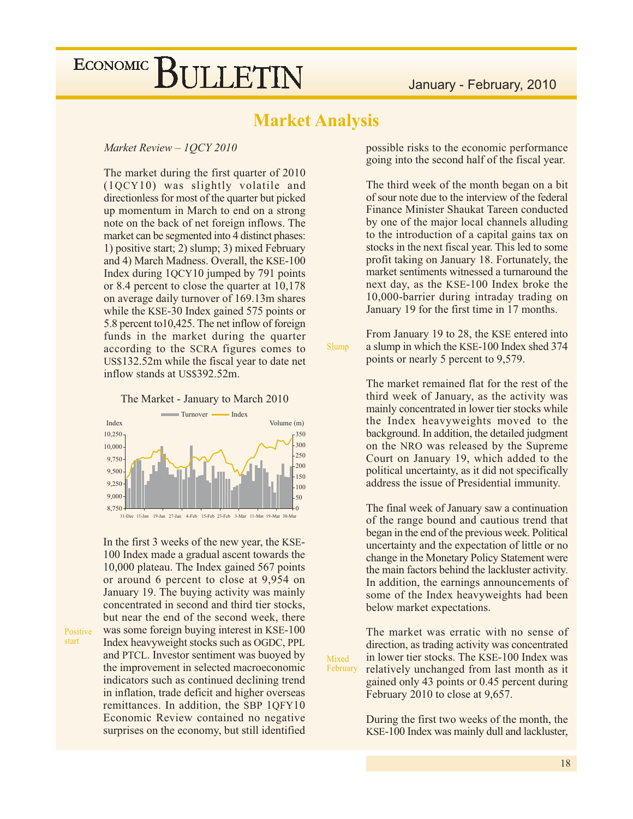## **Market Analysis**

Slump

Mixed

#### Market Review - 1QCY 2010

The market during the first quarter of 2010 (1QCY10) was slightly volatile and directionless for most of the quarter but picked up momentum in March to end on a strong note on the back of net foreign inflows. The market can be segmented into 4 distinct phases: 1) positive start; 2) slump; 3) mixed February and 4) March Madness. Overall, the KSE-100 Index during 1QCY10 jumped by 791 points or 8.4 percent to close the quarter at 10,178 on average daily turnover of 169.13m shares while the KSE-30 Index gained 575 points or 5.8 percent to 10,425. The net inflow of foreign funds in the market during the quarter according to the SCRA figures comes to US\$132.52m while the fiscal year to date net inflow stands at US\$392.52m.

#### The Market - January to March 2010



In the first 3 weeks of the new year, the KSE-100 Index made a gradual ascent towards the 10,000 plateau. The Index gained 567 points or around 6 percent to close at 9,954 on January 19. The buying activity was mainly concentrated in second and third tier stocks. but near the end of the second week, there was some foreign buying interest in KSE-100 Index heavyweight stocks such as OGDC, PPL and PTCL. Investor sentiment was buoyed by the improvement in selected macroeconomic indicators such as continued declining trend in inflation, trade deficit and higher overseas remittances. In addition, the SBP 1QFY10 Economic Review contained no negative surprises on the economy, but still identified

Positive start

possible risks to the economic performance going into the second half of the fiscal year.

The third week of the month began on a bit of sour note due to the interview of the federal Finance Minister Shaukat Tareen conducted by one of the major local channels alluding to the introduction of a capital gains tax on stocks in the next fiscal year. This led to some profit taking on January 18. Fortunately, the market sentiments witnessed a turnaround the next day, as the KSE-100 Index broke the 10,000-barrier during intraday trading on January 19 for the first time in 17 months.

From January 19 to 28, the KSE entered into a slump in which the KSE-100 Index shed 374 points or nearly 5 percent to 9,579.

The market remained flat for the rest of the third week of January, as the activity was mainly concentrated in lower tier stocks while the Index heavyweights moved to the background. In addition, the detailed judgment on the NRO was released by the Supreme Court on January 19, which added to the political uncertainty, as it did not specifically address the issue of Presidential immunity.

The final week of January saw a continuation of the range bound and cautious trend that began in the end of the previous week. Political uncertainty and the expectation of little or no change in the Monetary Policy Statement were the main factors behind the lackluster activity. In addition, the earnings announcements of some of the Index heavyweights had been below market expectations.

The market was erratic with no sense of direction, as trading activity was concentrated in lower tier stocks. The KSE-100 Index was February relatively unchanged from last month as it gained only 43 points or 0.45 percent during February 2010 to close at 9,657.

> During the first two weeks of the month, the KSE-100 Index was mainly dull and lackluster,

18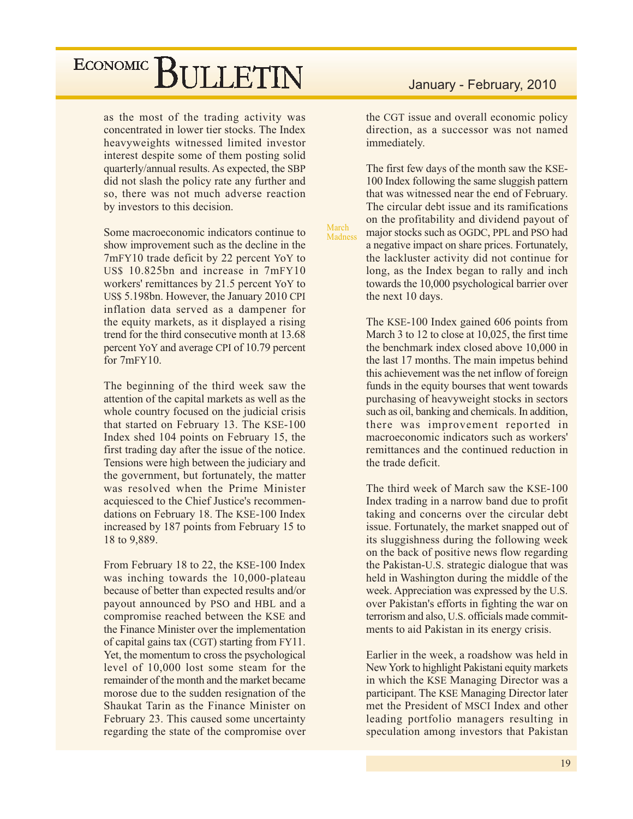as the most of the trading activity was concentrated in lower tier stocks. The Index heavyweights witnessed limited investor interest despite some of them posting solid quarterly/annual results. As expected, the SBP did not slash the policy rate any further and so, there was not much adverse reaction by investors to this decision.

Some macroeconomic indicators continue to show improvement such as the decline in the 7mFY10 trade deficit by 22 percent YoY to US\$ 10.825bn and increase in 7mFY10 workers' remittances by 21.5 percent YoY to US\$ 5.198bn. However, the January 2010 CPI inflation data served as a dampener for the equity markets, as it displayed a rising trend for the third consecutive month at 13.68 percent YoY and average CPI of 10.79 percent for  $7mFY10$ .

The beginning of the third week saw the attention of the capital markets as well as the whole country focused on the judicial crisis that started on February 13. The KSE-100 Index shed 104 points on February 15, the first trading day after the issue of the notice. Tensions were high between the judiciary and the government, but fortunately, the matter was resolved when the Prime Minister acquiesced to the Chief Justice's recommendations on February 18. The KSE-100 Index increased by 187 points from February 15 to 18 to 9,889.

From February 18 to 22, the KSE-100 Index was inching towards the 10,000-plateau because of better than expected results and/or payout announced by PSO and HBL and a compromise reached between the KSE and the Finance Minister over the implementation of capital gains tax (CGT) starting from FY11. Yet, the momentum to cross the psychological level of 10,000 lost some steam for the remainder of the month and the market became morose due to the sudden resignation of the Shaukat Tarin as the Finance Minister on February 23. This caused some uncertainty regarding the state of the compromise over

## January - February, 2010

the CGT issue and overall economic policy direction, as a successor was not named immediately.

The first few days of the month saw the KSE-100 Index following the same sluggish pattern that was witnessed near the end of February. The circular debt issue and its ramifications on the profitability and dividend payout of major stocks such as OGDC, PPL and PSO had a negative impact on share prices. Fortunately, the lackluster activity did not continue for long, as the Index began to rally and inch towards the 10,000 psychological barrier over the next 10 days.

March

**Madness** 

The KSE-100 Index gained 606 points from March 3 to 12 to close at 10,025, the first time the benchmark index closed above 10,000 in the last 17 months. The main impetus behind this achievement was the net inflow of foreign funds in the equity bourses that went towards purchasing of heavyweight stocks in sectors such as oil, banking and chemicals. In addition, there was improvement reported in macroeconomic indicators such as workers' remittances and the continued reduction in the trade deficit.

The third week of March saw the KSE-100 Index trading in a narrow band due to profit taking and concerns over the circular debt issue. Fortunately, the market snapped out of its sluggishness during the following week on the back of positive news flow regarding the Pakistan-U.S. strategic dialogue that was held in Washington during the middle of the week. Appreciation was expressed by the U.S. over Pakistan's efforts in fighting the war on terrorism and also, U.S. officials made commitments to aid Pakistan in its energy crisis.

Earlier in the week, a roadshow was held in New York to highlight Pakistani equity markets in which the KSE Managing Director was a participant. The KSE Managing Director later met the President of MSCI Index and other leading portfolio managers resulting in speculation among investors that Pakistan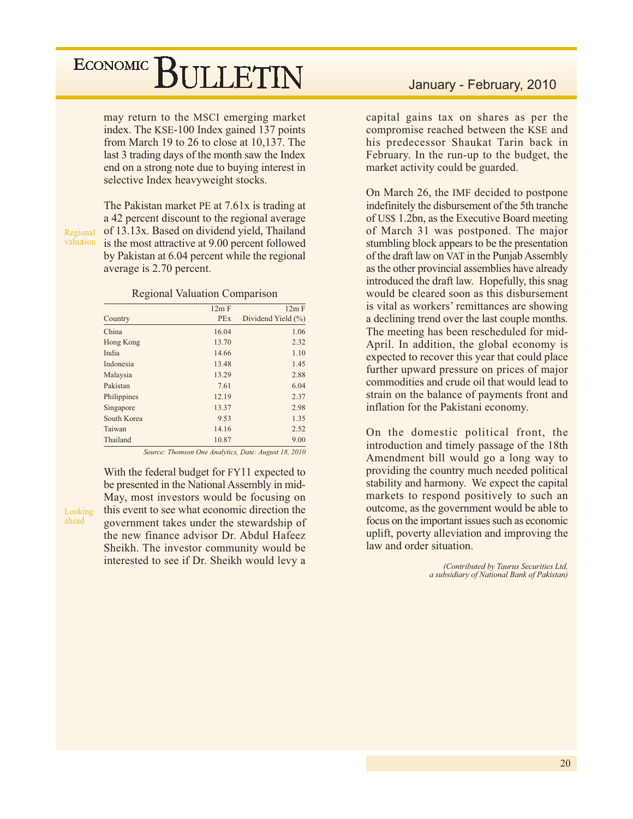may return to the MSCI emerging market index. The KSE-100 Index gained 137 points from March 19 to 26 to close at 10,137. The last 3 trading days of the month saw the Index end on a strong note due to buying interest in selective Index heavyweight stocks.

Regional valuation

Looking

ahead

The Pakistan market PE at 7.61x is trading at a 42 percent discount to the regional average of 13.13x. Based on dividend yield, Thailand is the most attractive at 9.00 percent followed by Pakistan at 6.04 percent while the regional average is 2.70 percent.

#### **Regional Valuation Comparison**

|             | 12m F      | 12m F                  |
|-------------|------------|------------------------|
| Country     | <b>PEx</b> | Dividend Yield $(\% )$ |
| China       | 16.04      | 1.06                   |
| Hong Kong   | 13.70      | 2.32                   |
| India       | 14.66      | 1.10                   |
| Indonesia   | 13.48      | 1.45                   |
| Malaysia    | 13.29      | 2.88                   |
| Pakistan    | 7.61       | 6.04                   |
| Philippines | 12.19      | 2.37                   |
| Singapore   | 13.37      | 2.98                   |
| South Korea | 9.53       | 1.35                   |
| Taiwan      | 14.16      | 2.52                   |
| Thailand    | 10.87      | 9.00                   |

Source: Thomson One Analytics, Date: August 18, 2010

With the federal budget for FY11 expected to be presented in the National Assembly in mid-May, most investors would be focusing on this event to see what economic direction the government takes under the stewardship of the new finance advisor Dr. Abdul Hafeez Sheikh. The investor community would be interested to see if Dr. Sheikh would levy a

## January - February, 2010

capital gains tax on shares as per the compromise reached between the KSE and his predecessor Shaukat Tarin back in February. In the run-up to the budget, the market activity could be guarded.

On March 26, the IMF decided to postpone indefinitely the disbursement of the 5th tranche of US\$ 1.2bn, as the Executive Board meeting of March 31 was postponed. The major stumbling block appears to be the presentation of the draft law on VAT in the Punjab Assembly as the other provincial assemblies have already introduced the draft law. Hopefully, this snag would be cleared soon as this disbursement is vital as workers' remittances are showing a declining trend over the last couple months. The meeting has been rescheduled for mid-April. In addition, the global economy is expected to recover this year that could place further upward pressure on prices of major commodities and crude oil that would lead to strain on the balance of payments front and inflation for the Pakistani economy.

On the domestic political front, the introduction and timely passage of the 18th Amendment bill would go a long way to providing the country much needed political stability and harmony. We expect the capital markets to respond positively to such an outcome, as the government would be able to focus on the important issues such as economic uplift, poverty alleviation and improving the law and order situation.

> (Contributed by Taurus Securities Ltd, a subsidiary of National Bank of Pakistan)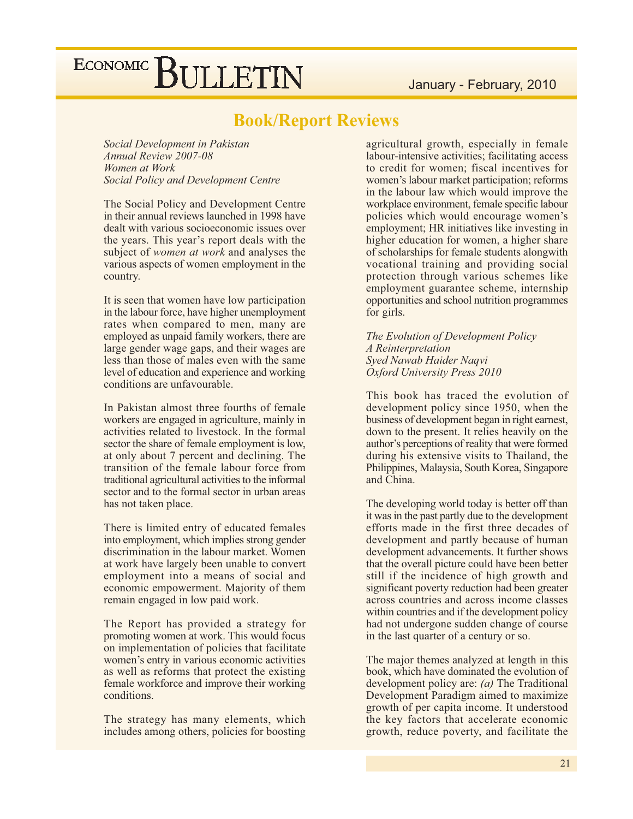## **Book/Report Reviews**

Social Development in Pakistan Annual Review 2007-08 Women at Work **Social Policy and Development Centre** 

The Social Policy and Development Centre in their annual reviews launched in 1998 have dealt with various socioeconomic issues over the years. This year's report deals with the subject of *women at work* and analyses the various aspects of women employment in the country.

It is seen that women have low participation in the labour force, have higher unemployment rates when compared to men, many are employed as unpaid family workers, there are large gender wage gaps, and their wages are less than those of males even with the same level of education and experience and working conditions are unfavourable.

In Pakistan almost three fourths of female workers are engaged in agriculture, mainly in activities related to livestock. In the formal sector the share of female employment is low, at only about 7 percent and declining. The transition of the female labour force from traditional agricultural activities to the informal sector and to the formal sector in urban areas has not taken place.

There is limited entry of educated females into employment, which implies strong gender discrimination in the labour market. Women at work have largely been unable to convert employment into a means of social and economic empowerment. Majority of them remain engaged in low paid work.

The Report has provided a strategy for promoting women at work. This would focus on implementation of policies that facilitate women's entry in various economic activities as well as reforms that protect the existing female workforce and improve their working conditions.

The strategy has many elements, which includes among others, policies for boosting

agricultural growth, especially in female labour-intensive activities; facilitating access to credit for women; fiscal incentives for women's labour market participation; reforms in the labour law which would improve the workplace environment, female specific labour policies which would encourage women's employment; HR initiatives like investing in higher education for women, a higher share of scholarships for female students alongwith vocational training and providing social protection through various schemes like employment guarantee scheme, internship opportunities and school nutrition programmes for girls.

The Evolution of Development Policy A Reinterpretation Syed Nawab Haider Nagvi Oxford University Press 2010

This book has traced the evolution of development policy since 1950, when the business of development began in right earnest, down to the present. It relies heavily on the author's perceptions of reality that were formed during his extensive visits to Thailand, the Philippines, Malaysia, South Korea, Singapore and China.

The developing world today is better off than it was in the past partly due to the development efforts made in the first three decades of development and partly because of human development advancements. It further shows that the overall picture could have been better still if the incidence of high growth and significant poverty reduction had been greater across countries and across income classes within countries and if the development policy had not undergone sudden change of course in the last quarter of a century or so.

The major themes analyzed at length in this book, which have dominated the evolution of development policy are:  $(a)$  The Traditional Development Paradigm aimed to maximize growth of per capita income. It understood the key factors that accelerate economic growth, reduce poverty, and facilitate the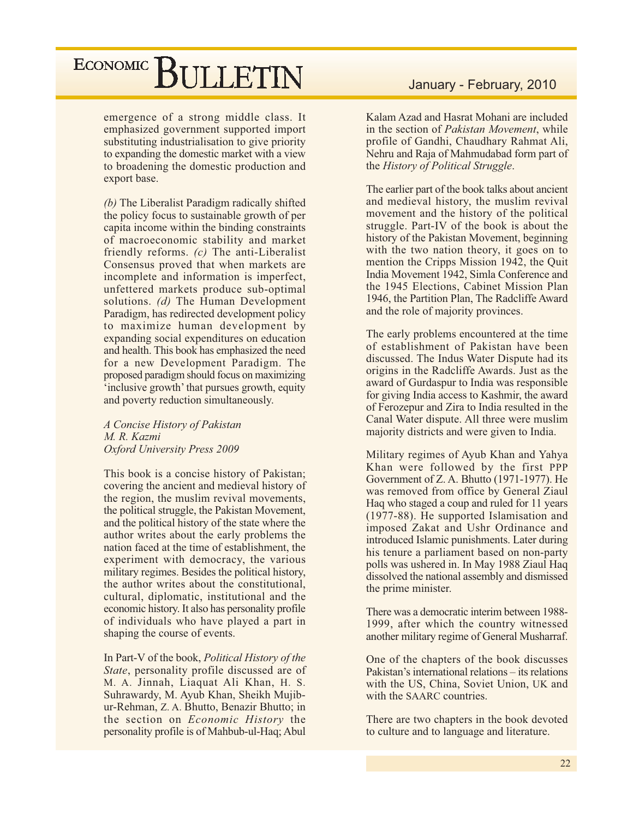emergence of a strong middle class. It emphasized government supported import substituting industrialisation to give priority to expanding the domestic market with a view to broadening the domestic production and export base.

(b) The Liberalist Paradigm radically shifted the policy focus to sustainable growth of per capita income within the binding constraints of macroeconomic stability and market friendly reforms.  $(c)$  The anti-Liberalist Consensus proved that when markets are incomplete and information is imperfect, unfettered markets produce sub-optimal solutions. (d) The Human Development Paradigm, has redirected development policy to maximize human development by expanding social expenditures on education and health. This book has emphasized the need for a new Development Paradigm. The proposed paradigm should focus on maximizing 'inclusive growth' that pursues growth, equity and poverty reduction simultaneously.

A Concise History of Pakistan M. R. Kazmi **Oxford University Press 2009** 

This book is a concise history of Pakistan; covering the ancient and medieval history of the region, the muslim revival movements, the political struggle, the Pakistan Movement, and the political history of the state where the author writes about the early problems the nation faced at the time of establishment, the experiment with democracy, the various military regimes. Besides the political history, the author writes about the constitutional. cultural, diplomatic, institutional and the economic history. It also has personality profile of individuals who have played a part in shaping the course of events.

In Part-V of the book, *Political History of the* State, personality profile discussed are of M. A. Jinnah, Liaquat Ali Khan, H. S. Suhrawardy, M. Ayub Khan, Sheikh Mujibur-Rehman, Z. A. Bhutto, Benazir Bhutto; in the section on Economic History the personality profile is of Mahbub-ul-Haq; Abul

## January - February, 2010

Kalam Azad and Hasrat Mohani are included in the section of *Pakistan Movement*, while profile of Gandhi, Chaudhary Rahmat Ali, Nehru and Raja of Mahmudabad form part of the History of Political Struggle.

The earlier part of the book talks about ancient and medieval history, the muslim revival movement and the history of the political struggle. Part-IV of the book is about the history of the Pakistan Movement, beginning with the two nation theory, it goes on to mention the Cripps Mission 1942, the Quit India Movement 1942, Simla Conference and the 1945 Elections, Cabinet Mission Plan 1946, the Partition Plan, The Radcliffe Award and the role of majority provinces.

The early problems encountered at the time of establishment of Pakistan have been discussed. The Indus Water Dispute had its origins in the Radcliffe Awards. Just as the award of Gurdaspur to India was responsible for giving India access to Kashmir, the award of Ferozepur and Zira to India resulted in the Canal Water dispute. All three were muslim majority districts and were given to India.

Military regimes of Ayub Khan and Yahya Khan were followed by the first PPP Government of Z. A. Bhutto (1971-1977). He was removed from office by General Ziaul Haq who staged a coup and ruled for 11 years (1977-88). He supported Islamisation and imposed Zakat and Ushr Ordinance and introduced Islamic punishments. Later during his tenure a parliament based on non-party polls was ushered in. In May 1988 Ziaul Haq dissolved the national assembly and dismissed the prime minister.

There was a democratic interim between 1988-1999, after which the country witnessed another military regime of General Musharraf.

One of the chapters of the book discusses Pakistan's international relations – its relations with the US, China, Soviet Union, UK and with the SAARC countries.

There are two chapters in the book devoted to culture and to language and literature.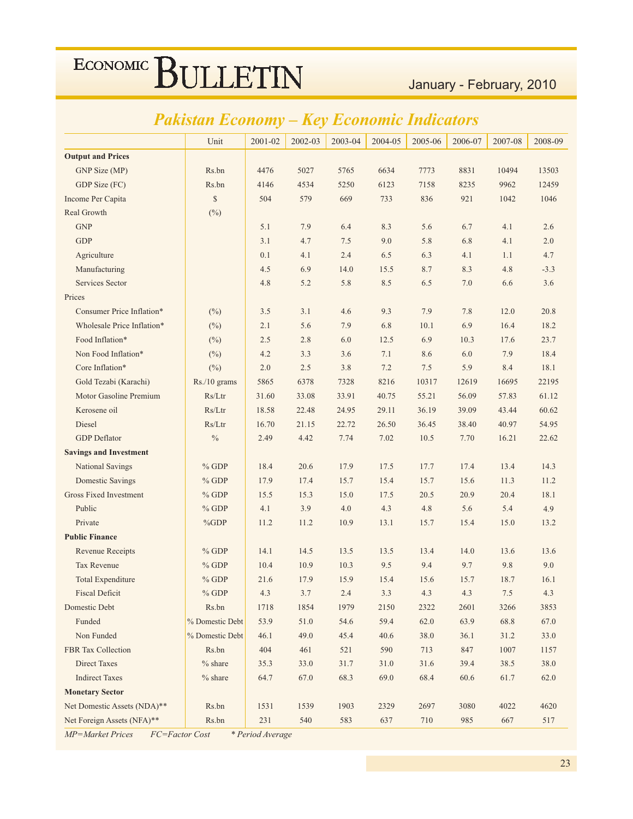## January - February, 2010

# *Pakistan Economy – Key Economic Indicators*

|                               | Unit            | 2001-02 | 2002-03 | 2003-04 | 2004-05 | 2005-06 | 2006-07 | 2007-08 | 2008-09 |
|-------------------------------|-----------------|---------|---------|---------|---------|---------|---------|---------|---------|
| <b>Output and Prices</b>      |                 |         |         |         |         |         |         |         |         |
| GNP Size (MP)                 | Rs.bn           | 4476    | 5027    | 5765    | 6634    | 7773    | 8831    | 10494   | 13503   |
| GDP Size (FC)                 | Rs.bn           | 4146    | 4534    | 5250    | 6123    | 7158    | 8235    | 9962    | 12459   |
| Income Per Capita             | \$              | 504     | 579     | 669     | 733     | 836     | 921     | 1042    | 1046    |
| Real Growth                   | $(^{0}_{0})$    |         |         |         |         |         |         |         |         |
| <b>GNP</b>                    |                 | 5.1     | 7.9     | 6.4     | 8.3     | 5.6     | 6.7     | 4.1     | 2.6     |
| <b>GDP</b>                    |                 | 3.1     | 4.7     | 7.5     | 9.0     | 5.8     | 6.8     | 4.1     | 2.0     |
| Agriculture                   |                 | 0.1     | 4.1     | 2.4     | 6.5     | 6.3     | 4.1     | 1.1     | 4.7     |
| Manufacturing                 |                 | 4.5     | 6.9     | 14.0    | 15.5    | 8.7     | 8.3     | 4.8     | $-3.3$  |
| <b>Services Sector</b>        |                 | 4.8     | 5.2     | 5.8     | 8.5     | 6.5     | 7.0     | 6.6     | 3.6     |
| Prices                        |                 |         |         |         |         |         |         |         |         |
| Consumer Price Inflation*     | (%)             | 3.5     | 3.1     | 4.6     | 9.3     | 7.9     | 7.8     | 12.0    | 20.8    |
| Wholesale Price Inflation*    | $(\%)$          | 2.1     | 5.6     | 7.9     | 6.8     | 10.1    | 6.9     | 16.4    | 18.2    |
| Food Inflation*               | $(\%)$          | 2.5     | 2.8     | 6.0     | 12.5    | 6.9     | 10.3    | 17.6    | 23.7    |
| Non Food Inflation*           | $(\%)$          | 4.2     | 3.3     | 3.6     | 7.1     | 8.6     | 6.0     | 7.9     | 18.4    |
| Core Inflation*               | $(\%)$          | 2.0     | 2.5     | 3.8     | 7.2     | 7.5     | 5.9     | 8.4     | 18.1    |
| Gold Tezabi (Karachi)         | Rs./10 grams    | 5865    | 6378    | 7328    | 8216    | 10317   | 12619   | 16695   | 22195   |
| Motor Gasoline Premium        | Rs/Ltr          | 31.60   | 33.08   | 33.91   | 40.75   | 55.21   | 56.09   | 57.83   | 61.12   |
| Kerosene oil                  | Rs/Ltr          | 18.58   | 22.48   | 24.95   | 29.11   | 36.19   | 39.09   | 43.44   | 60.62   |
| Diesel                        | Rs/Ltr          | 16.70   | 21.15   | 22.72   | 26.50   | 36.45   | 38.40   | 40.97   | 54.95   |
| <b>GDP</b> Deflator           | $\%$            | 2.49    | 4.42    | 7.74    | 7.02    | 10.5    | 7.70    | 16.21   | 22.62   |
| <b>Savings and Investment</b> |                 |         |         |         |         |         |         |         |         |
| National Savings              | $%$ GDP         | 18.4    | 20.6    | 17.9    | 17.5    | 17.7    | 17.4    | 13.4    | 14.3    |
| <b>Domestic Savings</b>       | $%$ GDP         | 17.9    | 17.4    | 15.7    | 15.4    | 15.7    | 15.6    | 11.3    | 11.2    |
| <b>Gross Fixed Investment</b> | $%$ GDP         | 15.5    | 15.3    | 15.0    | 17.5    | 20.5    | 20.9    | 20.4    | 18.1    |
| Public                        | $%$ GDP         | 4.1     | 3.9     | 4.0     | 4.3     | 4.8     | 5.6     | 5.4     | 4.9     |
| Private                       | $\%GDP$         | 11.2    | 11.2    | 10.9    | 13.1    | 15.7    | 15.4    | 15.0    | 13.2    |
| <b>Public Finance</b>         |                 |         |         |         |         |         |         |         |         |
| Revenue Receipts              | $%$ GDP         | 14.1    | 14.5    | 13.5    | 13.5    | 13.4    | 14.0    | 13.6    | 13.6    |
| <b>Tax Revenue</b>            | $%$ GDP         | 10.4    | 10.9    | 10.3    | 9.5     | 9.4     | 9.7     | 9.8     | 9.0     |
| <b>Total Expenditure</b>      | $%$ GDP         | 21.6    | 17.9    | 15.9    | 15.4    | 15.6    | 15.7    | 18.7    | 16.1    |
| <b>Fiscal Deficit</b>         | $%$ GDP         | 4.3     | 3.7     | 2.4     | 3.3     | 4.3     | 4.3     | 7.5     | 4.3     |
| Domestic Debt                 | Rs.bn           | 1718    | 1854    | 1979    | 2150    | 2322    | 2601    | 3266    | 3853    |
| Funded                        | % Domestic Debt | 53.9    | 51.0    | 54.6    | 59.4    | 62.0    | 63.9    | 68.8    | 67.0    |
| Non Funded                    | % Domestic Debt | 46.1    | 49.0    | 45.4    | 40.6    | 38.0    | 36.1    | 31.2    | 33.0    |
| <b>FBR</b> Tax Collection     | Rs.bn           | 404     | 461     | 521     | 590     | 713     | 847     | 1007    | 1157    |
| <b>Direct Taxes</b>           | $%$ share       | 35.3    | 33.0    | 31.7    | 31.0    | 31.6    | 39.4    | 38.5    | 38.0    |
| <b>Indirect Taxes</b>         | $%$ share       | 64.7    | 67.0    | 68.3    | 69.0    | 68.4    | 60.6    | 61.7    | 62.0    |
| <b>Monetary Sector</b>        |                 |         |         |         |         |         |         |         |         |
| Net Domestic Assets (NDA)**   | Rs.bn           | 1531    | 1539    | 1903    | 2329    | 2697    | 3080    | 4022    | 4620    |
| Net Foreign Assets (NFA)**    | Rs.bn           | 231     | 540     | 583     | 637     | 710     | 985     | 667     | 517     |

*MP*=Market Prices FC=Factor Cost \* Period Average